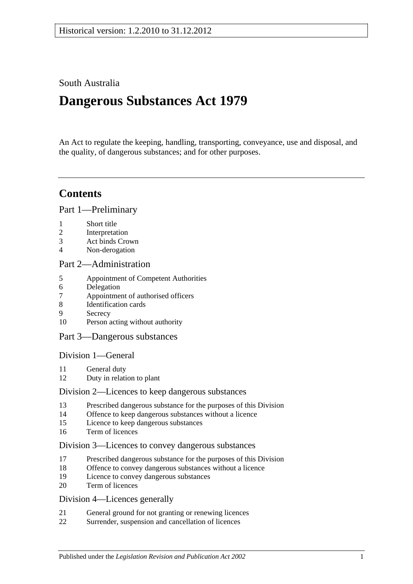South Australia

# **Dangerous Substances Act 1979**

An Act to regulate the keeping, handling, transporting, conveyance, use and disposal, and the quality, of dangerous substances; and for other purposes.

## **Contents**

[Part 1—Preliminary](#page-1-0)

- 1 [Short title](#page-1-1)
- 2 [Interpretation](#page-1-2)
- 3 [Act binds Crown](#page-3-0)
- 4 [Non-derogation](#page-4-0)

## [Part 2—Administration](#page-4-1)

- 5 [Appointment of Competent Authorities](#page-4-2)
- 6 [Delegation](#page-4-3)
- 7 [Appointment of authorised officers](#page-4-4)
- 8 [Identification cards](#page-5-0)
- 9 [Secrecy](#page-5-1)
- 10 [Person acting without authority](#page-5-2)

## [Part 3—Dangerous substances](#page-6-0)

[Division 1—General](#page-6-1)

- 11 [General duty](#page-6-2)
- 12 [Duty in relation to plant](#page-6-3)

## [Division 2—Licences to keep dangerous substances](#page-7-0)

- 13 [Prescribed dangerous substance for the purposes of this Division](#page-7-1)
- 14 [Offence to keep dangerous substances without a licence](#page-7-2)
- 15 [Licence to keep dangerous substances](#page-7-3)
- 16 [Term of licences](#page-8-0)

## [Division 3—Licences to convey dangerous substances](#page-8-1)

- 17 [Prescribed dangerous substance for the purposes of this Division](#page-8-2)
- 18 [Offence to convey dangerous substances without a licence](#page-8-3)<br>19 Licence to convey dangerous substances
- [Licence to convey dangerous substances](#page-8-4)
- 20 [Term of licences](#page-9-0)

## [Division 4—Licences generally](#page-9-1)

- 21 [General ground for not granting or renewing licences](#page-9-2)
- 22 [Surrender, suspension and cancellation of licences](#page-9-3)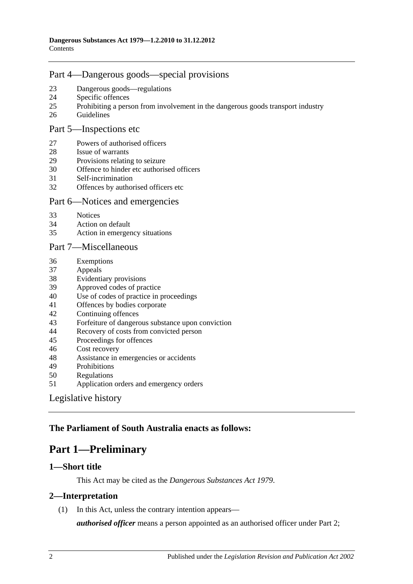## [Part 4—Dangerous goods—special provisions](#page-9-4)

- [Dangerous goods—regulations](#page-9-5)
- [Specific offences](#page-11-0)
- [Prohibiting a person from involvement in the dangerous goods transport industry](#page-12-0)
- [Guidelines](#page-12-1)

#### [Part 5—Inspections etc](#page-13-0)

- [Powers of authorised officers](#page-13-1)
- [Issue of warrants](#page-14-0)
- [Provisions relating to seizure](#page-16-0)
- [Offence to hinder etc authorised officers](#page-17-0)
- [Self-incrimination](#page-18-0)
- [Offences by authorised officers etc](#page-18-1)

#### [Part 6—Notices and emergencies](#page-18-2)

- [Notices](#page-18-3)
- [Action on default](#page-19-0)
- [Action in emergency situations](#page-20-0)

#### [Part 7—Miscellaneous](#page-20-1)

- [Exemptions](#page-20-2)
- [Appeals](#page-21-0)
- [Evidentiary provisions](#page-22-0)
- [Approved codes of practice](#page-23-0)
- [Use of codes of practice in proceedings](#page-23-1)
- [Offences by bodies corporate](#page-24-0)
- [Continuing offences](#page-24-1)
- [Forfeiture of dangerous substance upon conviction](#page-24-2)
- [Recovery of costs from convicted person](#page-24-3)
- [Proceedings for offences](#page-24-4)
- [Cost recovery](#page-25-0)
- [Assistance in emergencies or accidents](#page-27-0)
- [Prohibitions](#page-27-1)
- [Regulations](#page-28-0)
- [Application orders and emergency orders](#page-31-0)

## [Legislative history](#page-32-0)

## <span id="page-1-0"></span>**The Parliament of South Australia enacts as follows:**

## **Part 1—Preliminary**

## <span id="page-1-1"></span>**1—Short title**

This Act may be cited as the *Dangerous Substances Act 1979*.

## <span id="page-1-2"></span>**2—Interpretation**

(1) In this Act, unless the contrary intention appears—

*authorised officer* means a person appointed as an authorised officer under [Part 2;](#page-4-1)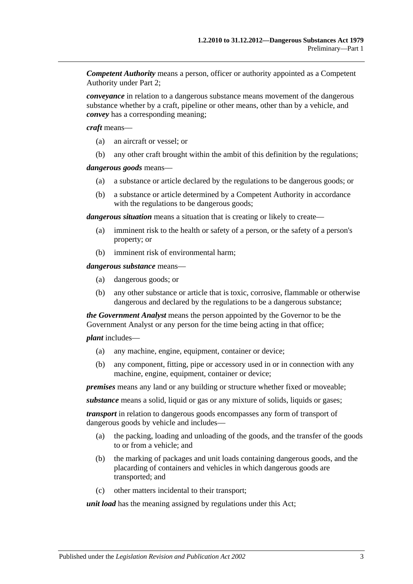*Competent Authority* means a person, officer or authority appointed as a Competent Authority under [Part 2;](#page-4-1)

*conveyance* in relation to a dangerous substance means movement of the dangerous substance whether by a craft, pipeline or other means, other than by a vehicle, and *convey* has a corresponding meaning;

*craft* means—

- (a) an aircraft or vessel; or
- (b) any other craft brought within the ambit of this definition by the regulations;

#### *dangerous goods* means—

- (a) a substance or article declared by the regulations to be dangerous goods; or
- (b) a substance or article determined by a Competent Authority in accordance with the regulations to be dangerous goods;

*dangerous situation* means a situation that is creating or likely to create—

- (a) imminent risk to the health or safety of a person, or the safety of a person's property; or
- (b) imminent risk of environmental harm;

*dangerous substance* means—

- (a) dangerous goods; or
- (b) any other substance or article that is toxic, corrosive, flammable or otherwise dangerous and declared by the regulations to be a dangerous substance;

*the Government Analyst* means the person appointed by the Governor to be the Government Analyst or any person for the time being acting in that office;

*plant* includes—

- (a) any machine, engine, equipment, container or device;
- (b) any component, fitting, pipe or accessory used in or in connection with any machine, engine, equipment, container or device;

*premises* means any land or any building or structure whether fixed or moveable;

*substance* means a solid, liquid or gas or any mixture of solids, liquids or gases;

*transport* in relation to dangerous goods encompasses any form of transport of dangerous goods by vehicle and includes—

- (a) the packing, loading and unloading of the goods, and the transfer of the goods to or from a vehicle; and
- (b) the marking of packages and unit loads containing dangerous goods, and the placarding of containers and vehicles in which dangerous goods are transported; and
- (c) other matters incidental to their transport;

*unit load* has the meaning assigned by regulations under this Act;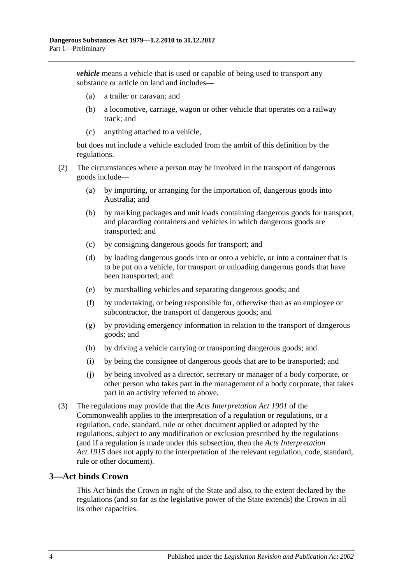*vehicle* means a vehicle that is used or capable of being used to transport any substance or article on land and includes—

- (a) a trailer or caravan; and
- (b) a locomotive, carriage, wagon or other vehicle that operates on a railway track; and
- (c) anything attached to a vehicle,

but does not include a vehicle excluded from the ambit of this definition by the regulations.

- (2) The circumstances where a person may be involved in the transport of dangerous goods include—
	- (a) by importing, or arranging for the importation of, dangerous goods into Australia; and
	- (b) by marking packages and unit loads containing dangerous goods for transport, and placarding containers and vehicles in which dangerous goods are transported; and
	- (c) by consigning dangerous goods for transport; and
	- (d) by loading dangerous goods into or onto a vehicle, or into a container that is to be put on a vehicle, for transport or unloading dangerous goods that have been transported; and
	- (e) by marshalling vehicles and separating dangerous goods; and
	- (f) by undertaking, or being responsible for, otherwise than as an employee or subcontractor, the transport of dangerous goods; and
	- (g) by providing emergency information in relation to the transport of dangerous goods; and
	- (h) by driving a vehicle carrying or transporting dangerous goods; and
	- (i) by being the consignee of dangerous goods that are to be transported; and
	- (j) by being involved as a director, secretary or manager of a body corporate, or other person who takes part in the management of a body corporate, that takes part in an activity referred to above.
- (3) The regulations may provide that the *Acts Interpretation Act 1901* of the Commonwealth applies to the interpretation of a regulation or regulations, or a regulation, code, standard, rule or other document applied or adopted by the regulations, subject to any modification or exclusion prescribed by the regulations (and if a regulation is made under this subsection, then the *[Acts Interpretation](http://www.legislation.sa.gov.au/index.aspx?action=legref&type=act&legtitle=Acts%20Interpretation%20Act%201915)  Act [1915](http://www.legislation.sa.gov.au/index.aspx?action=legref&type=act&legtitle=Acts%20Interpretation%20Act%201915)* does not apply to the interpretation of the relevant regulation, code, standard, rule or other document).

## <span id="page-3-0"></span>**3—Act binds Crown**

This Act binds the Crown in right of the State and also, to the extent declared by the regulations (and so far as the legislative power of the State extends) the Crown in all its other capacities.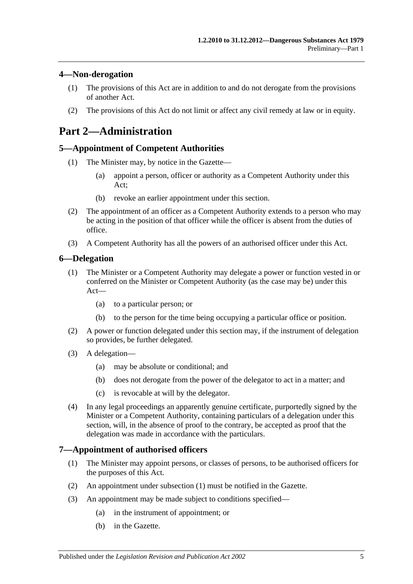## <span id="page-4-0"></span>**4—Non-derogation**

- (1) The provisions of this Act are in addition to and do not derogate from the provisions of another Act.
- (2) The provisions of this Act do not limit or affect any civil remedy at law or in equity.

## <span id="page-4-1"></span>**Part 2—Administration**

## <span id="page-4-2"></span>**5—Appointment of Competent Authorities**

- (1) The Minister may, by notice in the Gazette—
	- (a) appoint a person, officer or authority as a Competent Authority under this Act;
	- (b) revoke an earlier appointment under this section.
- (2) The appointment of an officer as a Competent Authority extends to a person who may be acting in the position of that officer while the officer is absent from the duties of office.
- (3) A Competent Authority has all the powers of an authorised officer under this Act.

#### <span id="page-4-3"></span>**6—Delegation**

- (1) The Minister or a Competent Authority may delegate a power or function vested in or conferred on the Minister or Competent Authority (as the case may be) under this Act—
	- (a) to a particular person; or
	- (b) to the person for the time being occupying a particular office or position.
- (2) A power or function delegated under this section may, if the instrument of delegation so provides, be further delegated.
- (3) A delegation—
	- (a) may be absolute or conditional; and
	- (b) does not derogate from the power of the delegator to act in a matter; and
	- (c) is revocable at will by the delegator.
- (4) In any legal proceedings an apparently genuine certificate, purportedly signed by the Minister or a Competent Authority, containing particulars of a delegation under this section, will, in the absence of proof to the contrary, be accepted as proof that the delegation was made in accordance with the particulars.

#### <span id="page-4-5"></span><span id="page-4-4"></span>**7—Appointment of authorised officers**

- (1) The Minister may appoint persons, or classes of persons, to be authorised officers for the purposes of this Act.
- (2) An appointment under [subsection](#page-4-5) (1) must be notified in the Gazette.
- (3) An appointment may be made subject to conditions specified—
	- (a) in the instrument of appointment; or
	- (b) in the Gazette.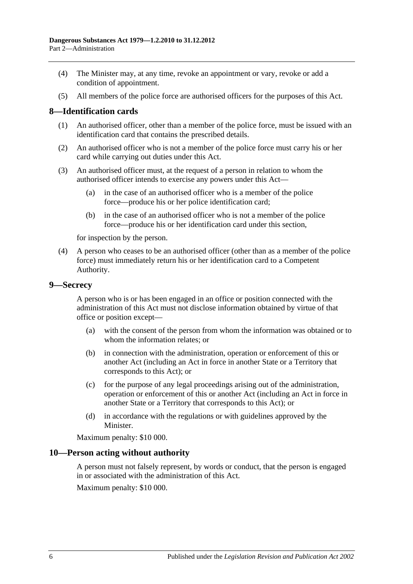- (4) The Minister may, at any time, revoke an appointment or vary, revoke or add a condition of appointment.
- (5) All members of the police force are authorised officers for the purposes of this Act.

#### <span id="page-5-0"></span>**8—Identification cards**

- (1) An authorised officer, other than a member of the police force, must be issued with an identification card that contains the prescribed details.
- (2) An authorised officer who is not a member of the police force must carry his or her card while carrying out duties under this Act.
- (3) An authorised officer must, at the request of a person in relation to whom the authorised officer intends to exercise any powers under this Act—
	- (a) in the case of an authorised officer who is a member of the police force—produce his or her police identification card;
	- (b) in the case of an authorised officer who is not a member of the police force—produce his or her identification card under this section,

for inspection by the person.

(4) A person who ceases to be an authorised officer (other than as a member of the police force) must immediately return his or her identification card to a Competent Authority.

#### <span id="page-5-1"></span>**9—Secrecy**

A person who is or has been engaged in an office or position connected with the administration of this Act must not disclose information obtained by virtue of that office or position except—

- (a) with the consent of the person from whom the information was obtained or to whom the information relates; or
- (b) in connection with the administration, operation or enforcement of this or another Act (including an Act in force in another State or a Territory that corresponds to this Act); or
- (c) for the purpose of any legal proceedings arising out of the administration, operation or enforcement of this or another Act (including an Act in force in another State or a Territory that corresponds to this Act); or
- (d) in accordance with the regulations or with guidelines approved by the Minister.

Maximum penalty: \$10 000.

#### <span id="page-5-2"></span>**10—Person acting without authority**

A person must not falsely represent, by words or conduct, that the person is engaged in or associated with the administration of this Act.

Maximum penalty: \$10 000.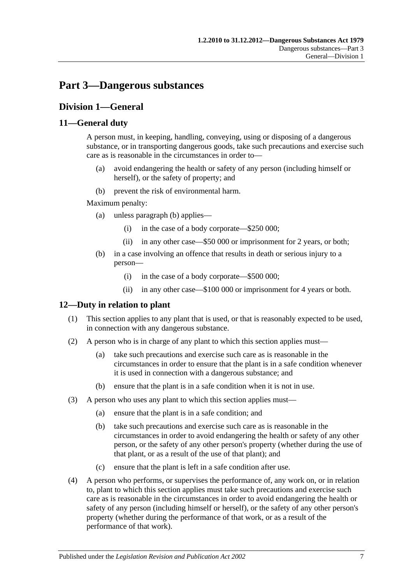## <span id="page-6-0"></span>**Part 3—Dangerous substances**

## <span id="page-6-1"></span>**Division 1—General**

## <span id="page-6-2"></span>**11—General duty**

A person must, in keeping, handling, conveying, using or disposing of a dangerous substance, or in transporting dangerous goods, take such precautions and exercise such care as is reasonable in the circumstances in order to—

- (a) avoid endangering the health or safety of any person (including himself or herself), or the safety of property; and
- (b) prevent the risk of environmental harm.

<span id="page-6-4"></span>Maximum penalty:

- (a) unless [paragraph](#page-6-4) (b) applies—
	- (i) in the case of a body corporate—\$250 000;
	- (ii) in any other case—\$50 000 or imprisonment for 2 years, or both;
- (b) in a case involving an offence that results in death or serious injury to a person—
	- (i) in the case of a body corporate—\$500 000;
	- (ii) in any other case—\$100 000 or imprisonment for 4 years or both.

## <span id="page-6-3"></span>**12—Duty in relation to plant**

- (1) This section applies to any plant that is used, or that is reasonably expected to be used, in connection with any dangerous substance.
- (2) A person who is in charge of any plant to which this section applies must—
	- (a) take such precautions and exercise such care as is reasonable in the circumstances in order to ensure that the plant is in a safe condition whenever it is used in connection with a dangerous substance; and
	- (b) ensure that the plant is in a safe condition when it is not in use.
- (3) A person who uses any plant to which this section applies must—
	- (a) ensure that the plant is in a safe condition; and
	- (b) take such precautions and exercise such care as is reasonable in the circumstances in order to avoid endangering the health or safety of any other person, or the safety of any other person's property (whether during the use of that plant, or as a result of the use of that plant); and
	- (c) ensure that the plant is left in a safe condition after use.
- (4) A person who performs, or supervises the performance of, any work on, or in relation to, plant to which this section applies must take such precautions and exercise such care as is reasonable in the circumstances in order to avoid endangering the health or safety of any person (including himself or herself), or the safety of any other person's property (whether during the performance of that work, or as a result of the performance of that work).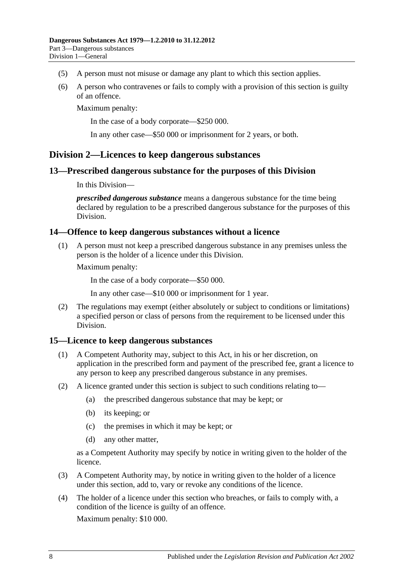- (5) A person must not misuse or damage any plant to which this section applies.
- (6) A person who contravenes or fails to comply with a provision of this section is guilty of an offence.

Maximum penalty:

In the case of a body corporate—\$250 000.

In any other case—\$50 000 or imprisonment for 2 years, or both.

## <span id="page-7-0"></span>**Division 2—Licences to keep dangerous substances**

#### <span id="page-7-1"></span>**13—Prescribed dangerous substance for the purposes of this Division**

#### In this Division—

*prescribed dangerous substance* means a dangerous substance for the time being declared by regulation to be a prescribed dangerous substance for the purposes of this Division.

#### <span id="page-7-2"></span>**14—Offence to keep dangerous substances without a licence**

(1) A person must not keep a prescribed dangerous substance in any premises unless the person is the holder of a licence under this Division.

Maximum penalty:

In the case of a body corporate—\$50 000.

In any other case—\$10 000 or imprisonment for 1 year.

(2) The regulations may exempt (either absolutely or subject to conditions or limitations) a specified person or class of persons from the requirement to be licensed under this Division.

#### <span id="page-7-3"></span>**15—Licence to keep dangerous substances**

- (1) A Competent Authority may, subject to this Act, in his or her discretion, on application in the prescribed form and payment of the prescribed fee, grant a licence to any person to keep any prescribed dangerous substance in any premises.
- (2) A licence granted under this section is subject to such conditions relating to—
	- (a) the prescribed dangerous substance that may be kept; or
	- (b) its keeping; or
	- (c) the premises in which it may be kept; or
	- (d) any other matter,

as a Competent Authority may specify by notice in writing given to the holder of the licence.

- (3) A Competent Authority may, by notice in writing given to the holder of a licence under this section, add to, vary or revoke any conditions of the licence.
- (4) The holder of a licence under this section who breaches, or fails to comply with, a condition of the licence is guilty of an offence.

Maximum penalty: \$10 000.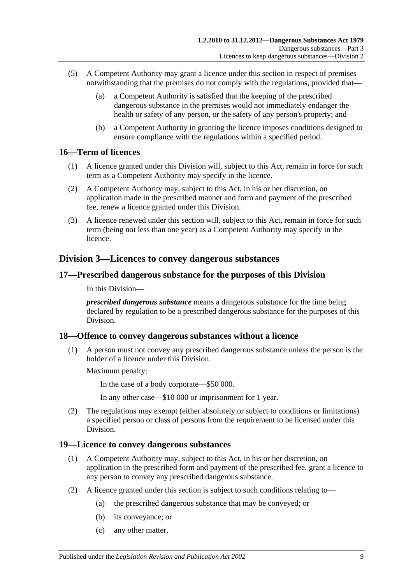- (5) A Competent Authority may grant a licence under this section in respect of premises notwithstanding that the premises do not comply with the regulations, provided that—
	- (a) a Competent Authority is satisfied that the keeping of the prescribed dangerous substance in the premises would not immediately endanger the health or safety of any person, or the safety of any person's property; and
	- (b) a Competent Authority in granting the licence imposes conditions designed to ensure compliance with the regulations within a specified period.

## <span id="page-8-0"></span>**16—Term of licences**

- (1) A licence granted under this Division will, subject to this Act, remain in force for such term as a Competent Authority may specify in the licence.
- (2) A Competent Authority may, subject to this Act, in his or her discretion, on application made in the prescribed manner and form and payment of the prescribed fee, renew a licence granted under this Division.
- (3) A licence renewed under this section will, subject to this Act, remain in force for such term (being not less than one year) as a Competent Authority may specify in the licence.

## <span id="page-8-1"></span>**Division 3—Licences to convey dangerous substances**

#### <span id="page-8-2"></span>**17—Prescribed dangerous substance for the purposes of this Division**

In this Division—

*prescribed dangerous substance* means a dangerous substance for the time being declared by regulation to be a prescribed dangerous substance for the purposes of this Division.

#### <span id="page-8-3"></span>**18—Offence to convey dangerous substances without a licence**

(1) A person must not convey any prescribed dangerous substance unless the person is the holder of a licence under this Division.

Maximum penalty:

In the case of a body corporate—\$50 000.

In any other case—\$10 000 or imprisonment for 1 year.

(2) The regulations may exempt (either absolutely or subject to conditions or limitations) a specified person or class of persons from the requirement to be licensed under this Division.

## <span id="page-8-4"></span>**19—Licence to convey dangerous substances**

- (1) A Competent Authority may, subject to this Act, in his or her discretion, on application in the prescribed form and payment of the prescribed fee, grant a licence to any person to convey any prescribed dangerous substance.
- (2) A licence granted under this section is subject to such conditions relating to—
	- (a) the prescribed dangerous substance that may be conveyed; or
	- (b) its conveyance; or
	- (c) any other matter,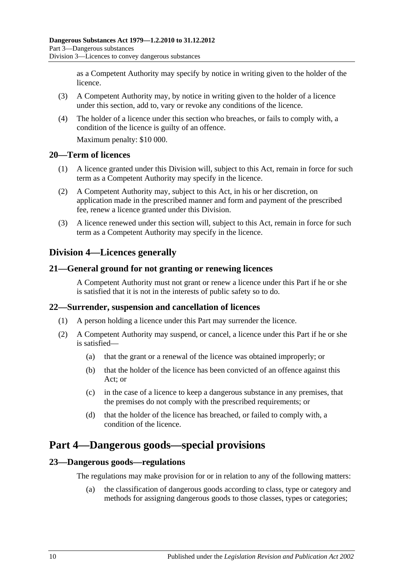as a Competent Authority may specify by notice in writing given to the holder of the licence.

- (3) A Competent Authority may, by notice in writing given to the holder of a licence under this section, add to, vary or revoke any conditions of the licence.
- (4) The holder of a licence under this section who breaches, or fails to comply with, a condition of the licence is guilty of an offence.

Maximum penalty: \$10 000.

#### <span id="page-9-0"></span>**20—Term of licences**

- (1) A licence granted under this Division will, subject to this Act, remain in force for such term as a Competent Authority may specify in the licence.
- (2) A Competent Authority may, subject to this Act, in his or her discretion, on application made in the prescribed manner and form and payment of the prescribed fee, renew a licence granted under this Division.
- (3) A licence renewed under this section will, subject to this Act, remain in force for such term as a Competent Authority may specify in the licence.

## <span id="page-9-1"></span>**Division 4—Licences generally**

## <span id="page-9-2"></span>**21—General ground for not granting or renewing licences**

A Competent Authority must not grant or renew a licence under this Part if he or she is satisfied that it is not in the interests of public safety so to do.

## <span id="page-9-3"></span>**22—Surrender, suspension and cancellation of licences**

- (1) A person holding a licence under this Part may surrender the licence.
- (2) A Competent Authority may suspend, or cancel, a licence under this Part if he or she is satisfied—
	- (a) that the grant or a renewal of the licence was obtained improperly; or
	- (b) that the holder of the licence has been convicted of an offence against this Act; or
	- (c) in the case of a licence to keep a dangerous substance in any premises, that the premises do not comply with the prescribed requirements; or
	- (d) that the holder of the licence has breached, or failed to comply with, a condition of the licence.

## <span id="page-9-4"></span>**Part 4—Dangerous goods—special provisions**

## <span id="page-9-5"></span>**23—Dangerous goods—regulations**

The regulations may make provision for or in relation to any of the following matters:

(a) the classification of dangerous goods according to class, type or category and methods for assigning dangerous goods to those classes, types or categories;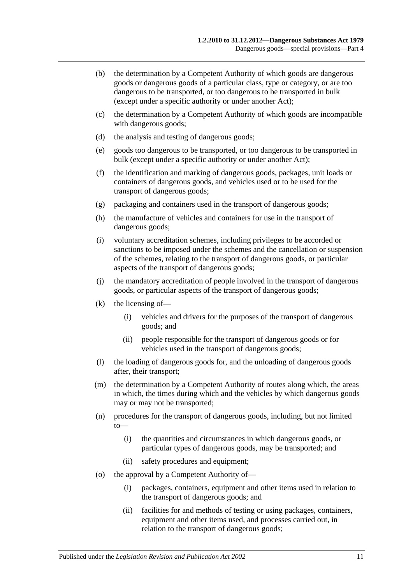- (b) the determination by a Competent Authority of which goods are dangerous goods or dangerous goods of a particular class, type or category, or are too dangerous to be transported, or too dangerous to be transported in bulk (except under a specific authority or under another Act);
- (c) the determination by a Competent Authority of which goods are incompatible with dangerous goods;
- (d) the analysis and testing of dangerous goods;
- (e) goods too dangerous to be transported, or too dangerous to be transported in bulk (except under a specific authority or under another Act);
- (f) the identification and marking of dangerous goods, packages, unit loads or containers of dangerous goods, and vehicles used or to be used for the transport of dangerous goods;
- (g) packaging and containers used in the transport of dangerous goods;
- (h) the manufacture of vehicles and containers for use in the transport of dangerous goods;
- (i) voluntary accreditation schemes, including privileges to be accorded or sanctions to be imposed under the schemes and the cancellation or suspension of the schemes, relating to the transport of dangerous goods, or particular aspects of the transport of dangerous goods;
- (j) the mandatory accreditation of people involved in the transport of dangerous goods, or particular aspects of the transport of dangerous goods;
- (k) the licensing of—
	- (i) vehicles and drivers for the purposes of the transport of dangerous goods; and
	- (ii) people responsible for the transport of dangerous goods or for vehicles used in the transport of dangerous goods;
- (l) the loading of dangerous goods for, and the unloading of dangerous goods after, their transport;
- (m) the determination by a Competent Authority of routes along which, the areas in which, the times during which and the vehicles by which dangerous goods may or may not be transported;
- (n) procedures for the transport of dangerous goods, including, but not limited to—
	- (i) the quantities and circumstances in which dangerous goods, or particular types of dangerous goods, may be transported; and
	- (ii) safety procedures and equipment;
- (o) the approval by a Competent Authority of—
	- (i) packages, containers, equipment and other items used in relation to the transport of dangerous goods; and
	- (ii) facilities for and methods of testing or using packages, containers, equipment and other items used, and processes carried out, in relation to the transport of dangerous goods;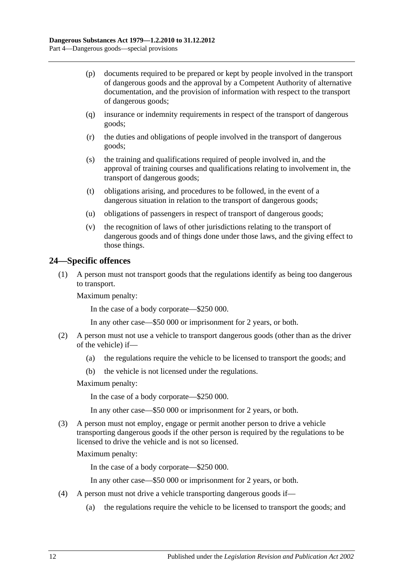- (p) documents required to be prepared or kept by people involved in the transport of dangerous goods and the approval by a Competent Authority of alternative documentation, and the provision of information with respect to the transport of dangerous goods;
- (q) insurance or indemnity requirements in respect of the transport of dangerous goods;
- (r) the duties and obligations of people involved in the transport of dangerous goods;
- (s) the training and qualifications required of people involved in, and the approval of training courses and qualifications relating to involvement in, the transport of dangerous goods;
- (t) obligations arising, and procedures to be followed, in the event of a dangerous situation in relation to the transport of dangerous goods;
- (u) obligations of passengers in respect of transport of dangerous goods;
- (v) the recognition of laws of other jurisdictions relating to the transport of dangerous goods and of things done under those laws, and the giving effect to those things.

## <span id="page-11-0"></span>**24—Specific offences**

(1) A person must not transport goods that the regulations identify as being too dangerous to transport.

Maximum penalty:

In the case of a body corporate—\$250 000.

In any other case—\$50 000 or imprisonment for 2 years, or both.

- (2) A person must not use a vehicle to transport dangerous goods (other than as the driver of the vehicle) if—
	- (a) the regulations require the vehicle to be licensed to transport the goods; and
	- (b) the vehicle is not licensed under the regulations.

Maximum penalty:

In the case of a body corporate—\$250 000.

In any other case—\$50 000 or imprisonment for 2 years, or both.

(3) A person must not employ, engage or permit another person to drive a vehicle transporting dangerous goods if the other person is required by the regulations to be licensed to drive the vehicle and is not so licensed.

Maximum penalty:

In the case of a body corporate—\$250 000.

In any other case—\$50 000 or imprisonment for 2 years, or both.

- (4) A person must not drive a vehicle transporting dangerous goods if—
	- (a) the regulations require the vehicle to be licensed to transport the goods; and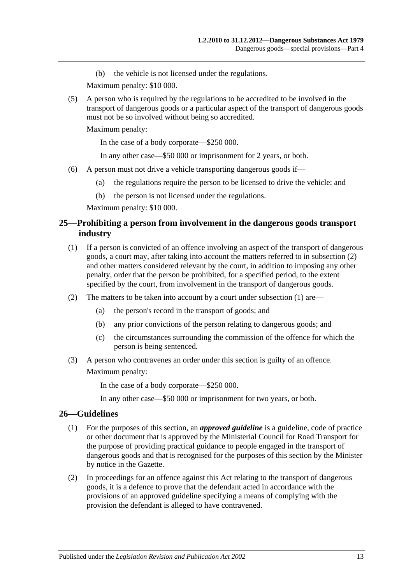(b) the vehicle is not licensed under the regulations.

Maximum penalty: \$10 000.

(5) A person who is required by the regulations to be accredited to be involved in the transport of dangerous goods or a particular aspect of the transport of dangerous goods must not be so involved without being so accredited.

Maximum penalty:

In the case of a body corporate—\$250 000.

In any other case—\$50 000 or imprisonment for 2 years, or both.

- (6) A person must not drive a vehicle transporting dangerous goods if—
	- (a) the regulations require the person to be licensed to drive the vehicle; and
	- (b) the person is not licensed under the regulations.

Maximum penalty: \$10 000.

## <span id="page-12-0"></span>**25—Prohibiting a person from involvement in the dangerous goods transport industry**

- <span id="page-12-3"></span>(1) If a person is convicted of an offence involving an aspect of the transport of dangerous goods, a court may, after taking into account the matters referred to in [subsection](#page-12-2) (2) and other matters considered relevant by the court, in addition to imposing any other penalty, order that the person be prohibited, for a specified period, to the extent specified by the court, from involvement in the transport of dangerous goods.
- <span id="page-12-2"></span>(2) The matters to be taken into account by a court under [subsection](#page-12-3) (1) are—
	- (a) the person's record in the transport of goods; and
	- (b) any prior convictions of the person relating to dangerous goods; and
	- (c) the circumstances surrounding the commission of the offence for which the person is being sentenced.
- (3) A person who contravenes an order under this section is guilty of an offence. Maximum penalty:

In the case of a body corporate—\$250 000.

In any other case—\$50 000 or imprisonment for two years, or both.

#### <span id="page-12-1"></span>**26—Guidelines**

- (1) For the purposes of this section, an *approved guideline* is a guideline, code of practice or other document that is approved by the Ministerial Council for Road Transport for the purpose of providing practical guidance to people engaged in the transport of dangerous goods and that is recognised for the purposes of this section by the Minister by notice in the Gazette.
- (2) In proceedings for an offence against this Act relating to the transport of dangerous goods, it is a defence to prove that the defendant acted in accordance with the provisions of an approved guideline specifying a means of complying with the provision the defendant is alleged to have contravened.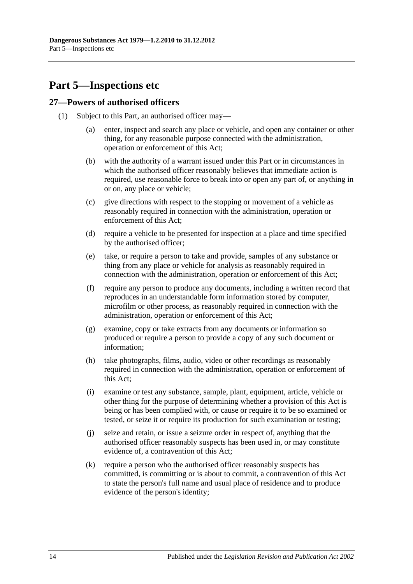## <span id="page-13-0"></span>**Part 5—Inspections etc**

#### <span id="page-13-1"></span>**27—Powers of authorised officers**

- (1) Subject to this Part, an authorised officer may—
	- (a) enter, inspect and search any place or vehicle, and open any container or other thing, for any reasonable purpose connected with the administration, operation or enforcement of this Act;
	- (b) with the authority of a warrant issued under this Part or in circumstances in which the authorised officer reasonably believes that immediate action is required, use reasonable force to break into or open any part of, or anything in or on, any place or vehicle;
	- (c) give directions with respect to the stopping or movement of a vehicle as reasonably required in connection with the administration, operation or enforcement of this Act;
	- (d) require a vehicle to be presented for inspection at a place and time specified by the authorised officer;
	- (e) take, or require a person to take and provide, samples of any substance or thing from any place or vehicle for analysis as reasonably required in connection with the administration, operation or enforcement of this Act;
	- (f) require any person to produce any documents, including a written record that reproduces in an understandable form information stored by computer, microfilm or other process, as reasonably required in connection with the administration, operation or enforcement of this Act;
	- (g) examine, copy or take extracts from any documents or information so produced or require a person to provide a copy of any such document or information;
	- (h) take photographs, films, audio, video or other recordings as reasonably required in connection with the administration, operation or enforcement of this Act;
	- (i) examine or test any substance, sample, plant, equipment, article, vehicle or other thing for the purpose of determining whether a provision of this Act is being or has been complied with, or cause or require it to be so examined or tested, or seize it or require its production for such examination or testing;
	- (j) seize and retain, or issue a seizure order in respect of, anything that the authorised officer reasonably suspects has been used in, or may constitute evidence of, a contravention of this Act;
	- (k) require a person who the authorised officer reasonably suspects has committed, is committing or is about to commit, a contravention of this Act to state the person's full name and usual place of residence and to produce evidence of the person's identity;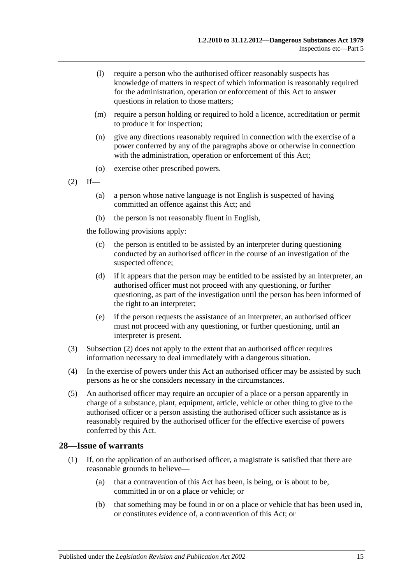- (l) require a person who the authorised officer reasonably suspects has knowledge of matters in respect of which information is reasonably required for the administration, operation or enforcement of this Act to answer questions in relation to those matters;
- (m) require a person holding or required to hold a licence, accreditation or permit to produce it for inspection;
- (n) give any directions reasonably required in connection with the exercise of a power conferred by any of the paragraphs above or otherwise in connection with the administration, operation or enforcement of this Act;
- (o) exercise other prescribed powers.
- <span id="page-14-1"></span> $(2)$  If—
	- (a) a person whose native language is not English is suspected of having committed an offence against this Act; and
	- (b) the person is not reasonably fluent in English,

the following provisions apply:

- (c) the person is entitled to be assisted by an interpreter during questioning conducted by an authorised officer in the course of an investigation of the suspected offence;
- (d) if it appears that the person may be entitled to be assisted by an interpreter, an authorised officer must not proceed with any questioning, or further questioning, as part of the investigation until the person has been informed of the right to an interpreter;
- (e) if the person requests the assistance of an interpreter, an authorised officer must not proceed with any questioning, or further questioning, until an interpreter is present.
- (3) [Subsection](#page-14-1) (2) does not apply to the extent that an authorised officer requires information necessary to deal immediately with a dangerous situation.
- (4) In the exercise of powers under this Act an authorised officer may be assisted by such persons as he or she considers necessary in the circumstances.
- (5) An authorised officer may require an occupier of a place or a person apparently in charge of a substance, plant, equipment, article, vehicle or other thing to give to the authorised officer or a person assisting the authorised officer such assistance as is reasonably required by the authorised officer for the effective exercise of powers conferred by this Act.

#### <span id="page-14-0"></span>**28—Issue of warrants**

- (1) If, on the application of an authorised officer, a magistrate is satisfied that there are reasonable grounds to believe—
	- (a) that a contravention of this Act has been, is being, or is about to be, committed in or on a place or vehicle; or
	- (b) that something may be found in or on a place or vehicle that has been used in, or constitutes evidence of, a contravention of this Act; or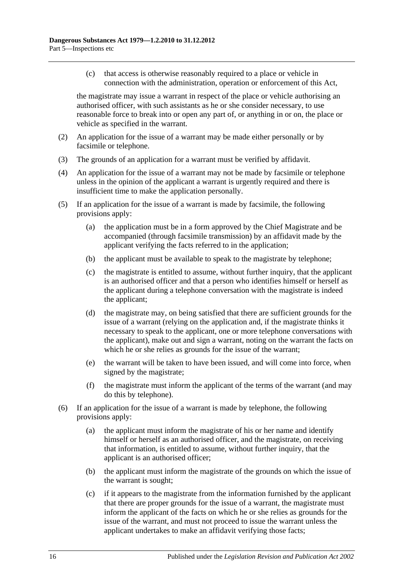(c) that access is otherwise reasonably required to a place or vehicle in connection with the administration, operation or enforcement of this Act,

the magistrate may issue a warrant in respect of the place or vehicle authorising an authorised officer, with such assistants as he or she consider necessary, to use reasonable force to break into or open any part of, or anything in or on, the place or vehicle as specified in the warrant.

- (2) An application for the issue of a warrant may be made either personally or by facsimile or telephone.
- (3) The grounds of an application for a warrant must be verified by affidavit.
- (4) An application for the issue of a warrant may not be made by facsimile or telephone unless in the opinion of the applicant a warrant is urgently required and there is insufficient time to make the application personally.
- (5) If an application for the issue of a warrant is made by facsimile, the following provisions apply:
	- (a) the application must be in a form approved by the Chief Magistrate and be accompanied (through facsimile transmission) by an affidavit made by the applicant verifying the facts referred to in the application;
	- (b) the applicant must be available to speak to the magistrate by telephone;
	- (c) the magistrate is entitled to assume, without further inquiry, that the applicant is an authorised officer and that a person who identifies himself or herself as the applicant during a telephone conversation with the magistrate is indeed the applicant;
	- (d) the magistrate may, on being satisfied that there are sufficient grounds for the issue of a warrant (relying on the application and, if the magistrate thinks it necessary to speak to the applicant, one or more telephone conversations with the applicant), make out and sign a warrant, noting on the warrant the facts on which he or she relies as grounds for the issue of the warrant;
	- (e) the warrant will be taken to have been issued, and will come into force, when signed by the magistrate;
	- (f) the magistrate must inform the applicant of the terms of the warrant (and may do this by telephone).
- <span id="page-15-0"></span>(6) If an application for the issue of a warrant is made by telephone, the following provisions apply:
	- (a) the applicant must inform the magistrate of his or her name and identify himself or herself as an authorised officer, and the magistrate, on receiving that information, is entitled to assume, without further inquiry, that the applicant is an authorised officer;
	- (b) the applicant must inform the magistrate of the grounds on which the issue of the warrant is sought;
	- (c) if it appears to the magistrate from the information furnished by the applicant that there are proper grounds for the issue of a warrant, the magistrate must inform the applicant of the facts on which he or she relies as grounds for the issue of the warrant, and must not proceed to issue the warrant unless the applicant undertakes to make an affidavit verifying those facts;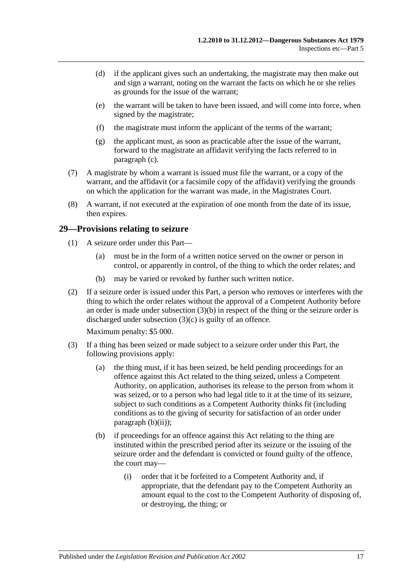- (d) if the applicant gives such an undertaking, the magistrate may then make out and sign a warrant, noting on the warrant the facts on which he or she relies as grounds for the issue of the warrant;
- (e) the warrant will be taken to have been issued, and will come into force, when signed by the magistrate;
- (f) the magistrate must inform the applicant of the terms of the warrant;
- (g) the applicant must, as soon as practicable after the issue of the warrant, forward to the magistrate an affidavit verifying the facts referred to in [paragraph](#page-15-0) (c).
- (7) A magistrate by whom a warrant is issued must file the warrant, or a copy of the warrant, and the affidavit (or a facsimile copy of the affidavit) verifying the grounds on which the application for the warrant was made, in the Magistrates Court.
- (8) A warrant, if not executed at the expiration of one month from the date of its issue, then expires.

#### <span id="page-16-0"></span>**29—Provisions relating to seizure**

- (1) A seizure order under this Part—
	- (a) must be in the form of a written notice served on the owner or person in control, or apparently in control, of the thing to which the order relates; and
	- (b) may be varied or revoked by further such written notice.
- (2) If a seizure order is issued under this Part, a person who removes or interferes with the thing to which the order relates without the approval of a Competent Authority before an order is made under [subsection](#page-16-1) (3)(b) in respect of the thing or the seizure order is discharged under [subsection](#page-17-1) (3)(c) is guilty of an offence.

Maximum penalty: \$5 000.

- <span id="page-16-3"></span><span id="page-16-2"></span><span id="page-16-1"></span>(3) If a thing has been seized or made subject to a seizure order under this Part, the following provisions apply:
	- (a) the thing must, if it has been seized, be held pending proceedings for an offence against this Act related to the thing seized, unless a Competent Authority, on application, authorises its release to the person from whom it was seized, or to a person who had legal title to it at the time of its seizure, subject to such conditions as a Competent Authority thinks fit (including conditions as to the giving of security for satisfaction of an order under [paragraph](#page-17-2) (b)(ii));
	- (b) if proceedings for an offence against this Act relating to the thing are instituted within the prescribed period after its seizure or the issuing of the seizure order and the defendant is convicted or found guilty of the offence, the court may—
		- (i) order that it be forfeited to a Competent Authority and, if appropriate, that the defendant pay to the Competent Authority an amount equal to the cost to the Competent Authority of disposing of, or destroying, the thing; or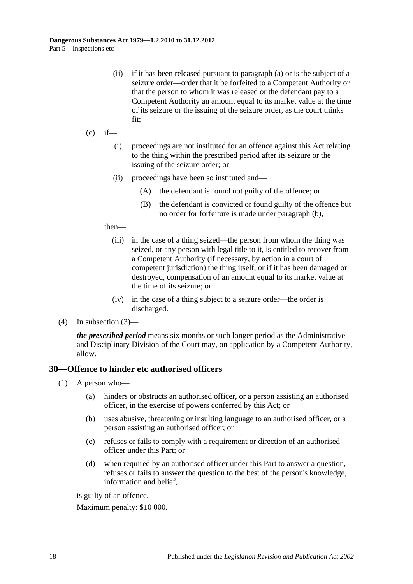<span id="page-17-2"></span>(ii) if it has been released pursuant to [paragraph](#page-16-2) (a) or is the subject of a seizure order—order that it be forfeited to a Competent Authority or that the person to whom it was released or the defendant pay to a Competent Authority an amount equal to its market value at the time of its seizure or the issuing of the seizure order, as the court thinks fit;

#### <span id="page-17-1"></span> $(c)$  if—

- (i) proceedings are not instituted for an offence against this Act relating to the thing within the prescribed period after its seizure or the issuing of the seizure order; or
- (ii) proceedings have been so instituted and—
	- (A) the defendant is found not guilty of the offence; or
	- (B) the defendant is convicted or found guilty of the offence but no order for forfeiture is made under [paragraph](#page-16-1) (b),

#### then—

- (iii) in the case of a thing seized—the person from whom the thing was seized, or any person with legal title to it, is entitled to recover from a Competent Authority (if necessary, by action in a court of competent jurisdiction) the thing itself, or if it has been damaged or destroyed, compensation of an amount equal to its market value at the time of its seizure; or
- (iv) in the case of a thing subject to a seizure order—the order is discharged.
- (4) In [subsection](#page-16-3) (3)—

*the prescribed period* means six months or such longer period as the Administrative and Disciplinary Division of the Court may, on application by a Competent Authority, allow.

#### <span id="page-17-0"></span>**30—Offence to hinder etc authorised officers**

- (1) A person who—
	- (a) hinders or obstructs an authorised officer, or a person assisting an authorised officer, in the exercise of powers conferred by this Act; or
	- (b) uses abusive, threatening or insulting language to an authorised officer, or a person assisting an authorised officer; or
	- (c) refuses or fails to comply with a requirement or direction of an authorised officer under this Part; or
	- (d) when required by an authorised officer under this Part to answer a question, refuses or fails to answer the question to the best of the person's knowledge, information and belief,

is guilty of an offence.

Maximum penalty: \$10 000.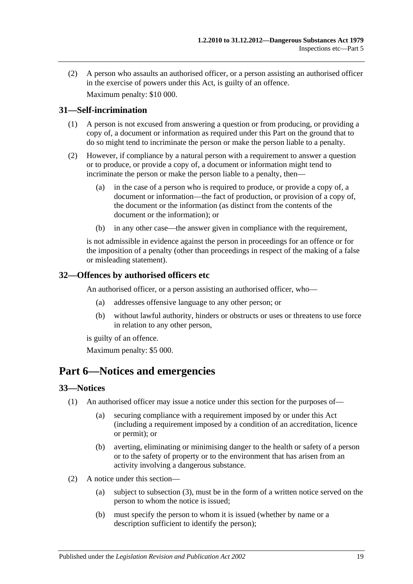(2) A person who assaults an authorised officer, or a person assisting an authorised officer in the exercise of powers under this Act, is guilty of an offence. Maximum penalty: \$10 000.

### <span id="page-18-0"></span>**31—Self-incrimination**

- (1) A person is not excused from answering a question or from producing, or providing a copy of, a document or information as required under this Part on the ground that to do so might tend to incriminate the person or make the person liable to a penalty.
- (2) However, if compliance by a natural person with a requirement to answer a question or to produce, or provide a copy of, a document or information might tend to incriminate the person or make the person liable to a penalty, then—
	- (a) in the case of a person who is required to produce, or provide a copy of, a document or information—the fact of production, or provision of a copy of, the document or the information (as distinct from the contents of the document or the information); or
	- (b) in any other case—the answer given in compliance with the requirement,

is not admissible in evidence against the person in proceedings for an offence or for the imposition of a penalty (other than proceedings in respect of the making of a false or misleading statement).

#### <span id="page-18-1"></span>**32—Offences by authorised officers etc**

An authorised officer, or a person assisting an authorised officer, who—

- (a) addresses offensive language to any other person; or
- (b) without lawful authority, hinders or obstructs or uses or threatens to use force in relation to any other person,

is guilty of an offence.

Maximum penalty: \$5 000.

## <span id="page-18-2"></span>**Part 6—Notices and emergencies**

#### <span id="page-18-3"></span>**33—Notices**

- (1) An authorised officer may issue a notice under this section for the purposes of—
	- (a) securing compliance with a requirement imposed by or under this Act (including a requirement imposed by a condition of an accreditation, licence or permit); or
	- (b) averting, eliminating or minimising danger to the health or safety of a person or to the safety of property or to the environment that has arisen from an activity involving a dangerous substance.
- (2) A notice under this section—
	- (a) subject to [subsection](#page-19-1) (3), must be in the form of a written notice served on the person to whom the notice is issued;
	- (b) must specify the person to whom it is issued (whether by name or a description sufficient to identify the person);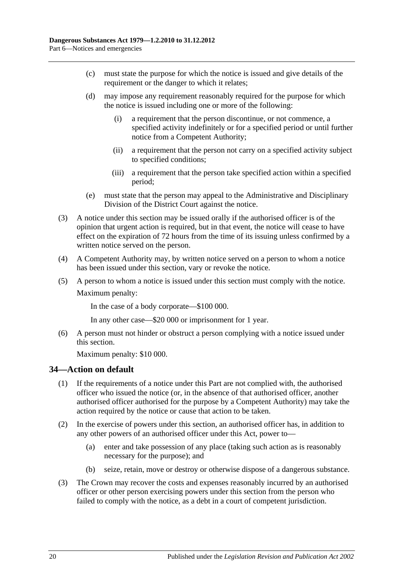- (c) must state the purpose for which the notice is issued and give details of the requirement or the danger to which it relates;
- (d) may impose any requirement reasonably required for the purpose for which the notice is issued including one or more of the following:
	- (i) a requirement that the person discontinue, or not commence, a specified activity indefinitely or for a specified period or until further notice from a Competent Authority;
	- (ii) a requirement that the person not carry on a specified activity subject to specified conditions;
	- (iii) a requirement that the person take specified action within a specified period;
- (e) must state that the person may appeal to the Administrative and Disciplinary Division of the District Court against the notice.
- <span id="page-19-1"></span>(3) A notice under this section may be issued orally if the authorised officer is of the opinion that urgent action is required, but in that event, the notice will cease to have effect on the expiration of 72 hours from the time of its issuing unless confirmed by a written notice served on the person.
- (4) A Competent Authority may, by written notice served on a person to whom a notice has been issued under this section, vary or revoke the notice.
- (5) A person to whom a notice is issued under this section must comply with the notice. Maximum penalty:

In the case of a body corporate—\$100 000.

In any other case—\$20 000 or imprisonment for 1 year.

(6) A person must not hinder or obstruct a person complying with a notice issued under this section.

Maximum penalty: \$10 000.

## <span id="page-19-0"></span>**34—Action on default**

- (1) If the requirements of a notice under this Part are not complied with, the authorised officer who issued the notice (or, in the absence of that authorised officer, another authorised officer authorised for the purpose by a Competent Authority) may take the action required by the notice or cause that action to be taken.
- (2) In the exercise of powers under this section, an authorised officer has, in addition to any other powers of an authorised officer under this Act, power to—
	- (a) enter and take possession of any place (taking such action as is reasonably necessary for the purpose); and
	- (b) seize, retain, move or destroy or otherwise dispose of a dangerous substance.
- (3) The Crown may recover the costs and expenses reasonably incurred by an authorised officer or other person exercising powers under this section from the person who failed to comply with the notice, as a debt in a court of competent jurisdiction.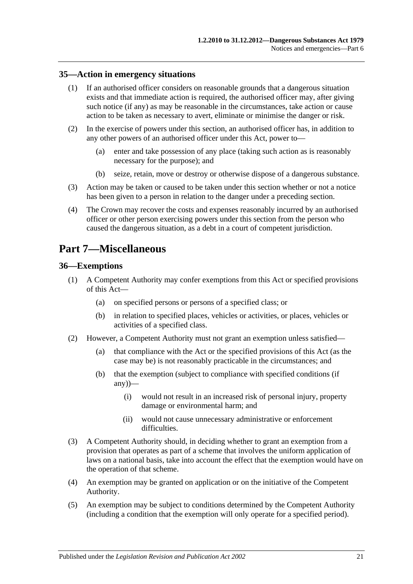#### <span id="page-20-0"></span>**35—Action in emergency situations**

- (1) If an authorised officer considers on reasonable grounds that a dangerous situation exists and that immediate action is required, the authorised officer may, after giving such notice (if any) as may be reasonable in the circumstances, take action or cause action to be taken as necessary to avert, eliminate or minimise the danger or risk.
- (2) In the exercise of powers under this section, an authorised officer has, in addition to any other powers of an authorised officer under this Act, power to—
	- (a) enter and take possession of any place (taking such action as is reasonably necessary for the purpose); and
	- (b) seize, retain, move or destroy or otherwise dispose of a dangerous substance.
- (3) Action may be taken or caused to be taken under this section whether or not a notice has been given to a person in relation to the danger under a preceding section.
- (4) The Crown may recover the costs and expenses reasonably incurred by an authorised officer or other person exercising powers under this section from the person who caused the dangerous situation, as a debt in a court of competent jurisdiction.

## <span id="page-20-1"></span>**Part 7—Miscellaneous**

#### <span id="page-20-2"></span>**36—Exemptions**

- (1) A Competent Authority may confer exemptions from this Act or specified provisions of this Act—
	- (a) on specified persons or persons of a specified class; or
	- (b) in relation to specified places, vehicles or activities, or places, vehicles or activities of a specified class.
- (2) However, a Competent Authority must not grant an exemption unless satisfied—
	- (a) that compliance with the Act or the specified provisions of this Act (as the case may be) is not reasonably practicable in the circumstances; and
	- (b) that the exemption (subject to compliance with specified conditions (if  $any)$ —
		- (i) would not result in an increased risk of personal injury, property damage or environmental harm; and
		- (ii) would not cause unnecessary administrative or enforcement difficulties.
- (3) A Competent Authority should, in deciding whether to grant an exemption from a provision that operates as part of a scheme that involves the uniform application of laws on a national basis, take into account the effect that the exemption would have on the operation of that scheme.
- (4) An exemption may be granted on application or on the initiative of the Competent Authority.
- (5) An exemption may be subject to conditions determined by the Competent Authority (including a condition that the exemption will only operate for a specified period).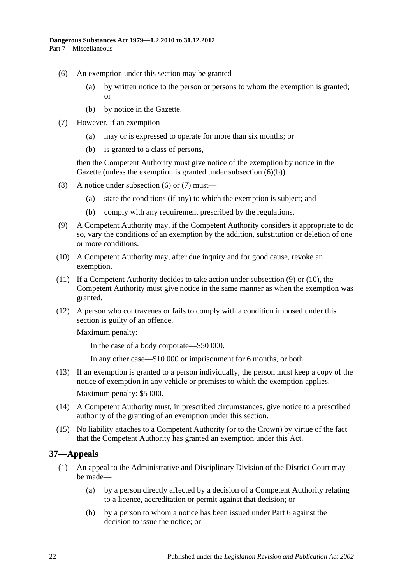- <span id="page-21-2"></span>(6) An exemption under this section may be granted—
	- (a) by written notice to the person or persons to whom the exemption is granted; or
	- (b) by notice in the Gazette.
- <span id="page-21-3"></span><span id="page-21-1"></span>(7) However, if an exemption—
	- (a) may or is expressed to operate for more than six months; or
	- (b) is granted to a class of persons,

then the Competent Authority must give notice of the exemption by notice in the Gazette (unless the exemption is granted under [subsection](#page-21-1) (6)(b)).

- (8) A notice under [subsection](#page-21-2) (6) or [\(7\)](#page-21-3) must—
	- (a) state the conditions (if any) to which the exemption is subject; and
	- (b) comply with any requirement prescribed by the regulations.
- <span id="page-21-4"></span>(9) A Competent Authority may, if the Competent Authority considers it appropriate to do so, vary the conditions of an exemption by the addition, substitution or deletion of one or more conditions.
- <span id="page-21-5"></span>(10) A Competent Authority may, after due inquiry and for good cause, revoke an exemption.
- (11) If a Competent Authority decides to take action under [subsection](#page-21-4) (9) or [\(10\),](#page-21-5) the Competent Authority must give notice in the same manner as when the exemption was granted.
- (12) A person who contravenes or fails to comply with a condition imposed under this section is guilty of an offence.

Maximum penalty:

In the case of a body corporate—\$50 000.

In any other case—\$10 000 or imprisonment for 6 months, or both.

- (13) If an exemption is granted to a person individually, the person must keep a copy of the notice of exemption in any vehicle or premises to which the exemption applies. Maximum penalty: \$5 000.
- (14) A Competent Authority must, in prescribed circumstances, give notice to a prescribed authority of the granting of an exemption under this section.
- (15) No liability attaches to a Competent Authority (or to the Crown) by virtue of the fact that the Competent Authority has granted an exemption under this Act.

## <span id="page-21-6"></span><span id="page-21-0"></span>**37—Appeals**

- <span id="page-21-8"></span><span id="page-21-7"></span>(1) An appeal to the Administrative and Disciplinary Division of the District Court may be made—
	- (a) by a person directly affected by a decision of a Competent Authority relating to a licence, accreditation or permit against that decision; or
	- (b) by a person to whom a notice has been issued under [Part 6](#page-18-2) against the decision to issue the notice; or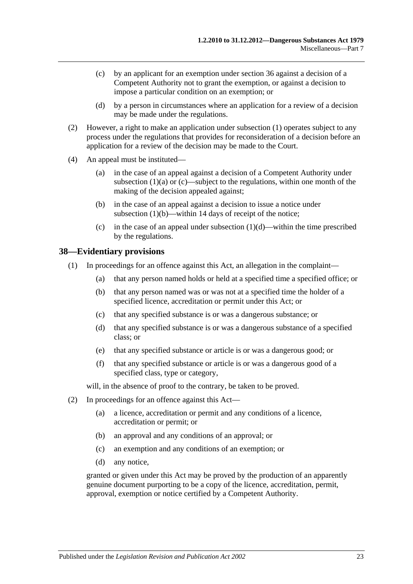- <span id="page-22-1"></span>(c) by an applicant for an exemption under [section](#page-20-2) 36 against a decision of a Competent Authority not to grant the exemption, or against a decision to impose a particular condition on an exemption; or
- (d) by a person in circumstances where an application for a review of a decision may be made under the regulations.
- <span id="page-22-2"></span>(2) However, a right to make an application under [subsection](#page-21-6) (1) operates subject to any process under the regulations that provides for reconsideration of a decision before an application for a review of the decision may be made to the Court.
- (4) An appeal must be instituted—
	- (a) in the case of an appeal against a decision of a Competent Authority under [subsection](#page-21-7)  $(1)(a)$  or  $(c)$ —subject to the regulations, within one month of the making of the decision appealed against;
	- (b) in the case of an appeal against a decision to issue a notice under [subsection](#page-21-8) (1)(b)—within 14 days of receipt of the notice;
	- (c) in the case of an appeal under [subsection](#page-22-2)  $(1)(d)$ —within the time prescribed by the regulations.

#### <span id="page-22-0"></span>**38—Evidentiary provisions**

- (1) In proceedings for an offence against this Act, an allegation in the complaint—
	- (a) that any person named holds or held at a specified time a specified office; or
	- (b) that any person named was or was not at a specified time the holder of a specified licence, accreditation or permit under this Act; or
	- (c) that any specified substance is or was a dangerous substance; or
	- (d) that any specified substance is or was a dangerous substance of a specified class; or
	- (e) that any specified substance or article is or was a dangerous good; or
	- (f) that any specified substance or article is or was a dangerous good of a specified class, type or category,

will, in the absence of proof to the contrary, be taken to be proved.

- (2) In proceedings for an offence against this Act—
	- (a) a licence, accreditation or permit and any conditions of a licence, accreditation or permit; or
	- (b) an approval and any conditions of an approval; or
	- (c) an exemption and any conditions of an exemption; or
	- (d) any notice,

granted or given under this Act may be proved by the production of an apparently genuine document purporting to be a copy of the licence, accreditation, permit, approval, exemption or notice certified by a Competent Authority.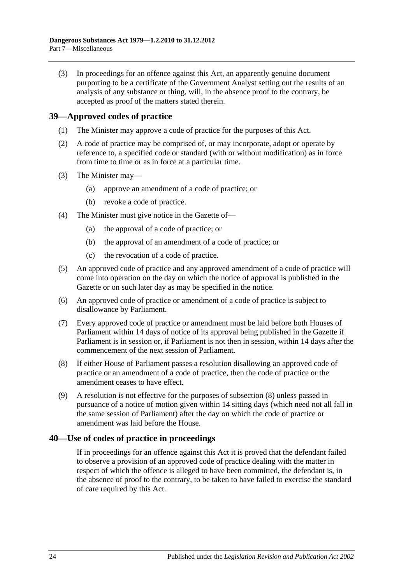(3) In proceedings for an offence against this Act, an apparently genuine document purporting to be a certificate of the Government Analyst setting out the results of an analysis of any substance or thing, will, in the absence proof to the contrary, be accepted as proof of the matters stated therein.

## <span id="page-23-0"></span>**39—Approved codes of practice**

- (1) The Minister may approve a code of practice for the purposes of this Act.
- (2) A code of practice may be comprised of, or may incorporate, adopt or operate by reference to, a specified code or standard (with or without modification) as in force from time to time or as in force at a particular time.
- (3) The Minister may—
	- (a) approve an amendment of a code of practice; or
	- (b) revoke a code of practice.
- (4) The Minister must give notice in the Gazette of—
	- (a) the approval of a code of practice; or
	- (b) the approval of an amendment of a code of practice; or
	- (c) the revocation of a code of practice.
- (5) An approved code of practice and any approved amendment of a code of practice will come into operation on the day on which the notice of approval is published in the Gazette or on such later day as may be specified in the notice.
- (6) An approved code of practice or amendment of a code of practice is subject to disallowance by Parliament.
- (7) Every approved code of practice or amendment must be laid before both Houses of Parliament within 14 days of notice of its approval being published in the Gazette if Parliament is in session or, if Parliament is not then in session, within 14 days after the commencement of the next session of Parliament.
- <span id="page-23-2"></span>(8) If either House of Parliament passes a resolution disallowing an approved code of practice or an amendment of a code of practice, then the code of practice or the amendment ceases to have effect.
- (9) A resolution is not effective for the purposes of [subsection](#page-23-2) (8) unless passed in pursuance of a notice of motion given within 14 sitting days (which need not all fall in the same session of Parliament) after the day on which the code of practice or amendment was laid before the House.

## <span id="page-23-1"></span>**40—Use of codes of practice in proceedings**

If in proceedings for an offence against this Act it is proved that the defendant failed to observe a provision of an approved code of practice dealing with the matter in respect of which the offence is alleged to have been committed, the defendant is, in the absence of proof to the contrary, to be taken to have failed to exercise the standard of care required by this Act.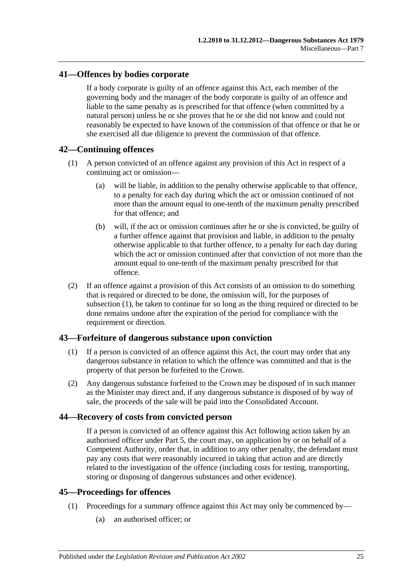### <span id="page-24-0"></span>**41—Offences by bodies corporate**

If a body corporate is guilty of an offence against this Act, each member of the governing body and the manager of the body corporate is guilty of an offence and liable to the same penalty as is prescribed for that offence (when committed by a natural person) unless he or she proves that he or she did not know and could not reasonably be expected to have known of the commission of that offence or that he or she exercised all due diligence to prevent the commission of that offence.

## <span id="page-24-5"></span><span id="page-24-1"></span>**42—Continuing offences**

- (1) A person convicted of an offence against any provision of this Act in respect of a continuing act or omission—
	- (a) will be liable, in addition to the penalty otherwise applicable to that offence, to a penalty for each day during which the act or omission continued of not more than the amount equal to one-tenth of the maximum penalty prescribed for that offence; and
	- (b) will, if the act or omission continues after he or she is convicted, be guilty of a further offence against that provision and liable, in addition to the penalty otherwise applicable to that further offence, to a penalty for each day during which the act or omission continued after that conviction of not more than the amount equal to one-tenth of the maximum penalty prescribed for that offence.
- (2) If an offence against a provision of this Act consists of an omission to do something that is required or directed to be done, the omission will, for the purposes of [subsection](#page-24-5) (1), be taken to continue for so long as the thing required or directed to be done remains undone after the expiration of the period for compliance with the requirement or direction.

#### <span id="page-24-2"></span>**43—Forfeiture of dangerous substance upon conviction**

- (1) If a person is convicted of an offence against this Act, the court may order that any dangerous substance in relation to which the offence was committed and that is the property of that person be forfeited to the Crown.
- (2) Any dangerous substance forfeited to the Crown may be disposed of in such manner as the Minister may direct and, if any dangerous substance is disposed of by way of sale, the proceeds of the sale will be paid into the Consolidated Account.

#### <span id="page-24-3"></span>**44—Recovery of costs from convicted person**

If a person is convicted of an offence against this Act following action taken by an authorised officer under [Part 5,](#page-13-0) the court may, on application by or on behalf of a Competent Authority, order that, in addition to any other penalty, the defendant must pay any costs that were reasonably incurred in taking that action and are directly related to the investigation of the offence (including costs for testing, transporting, storing or disposing of dangerous substances and other evidence).

### <span id="page-24-4"></span>**45—Proceedings for offences**

- (1) Proceedings for a summary offence against this Act may only be commenced by—
	- (a) an authorised officer; or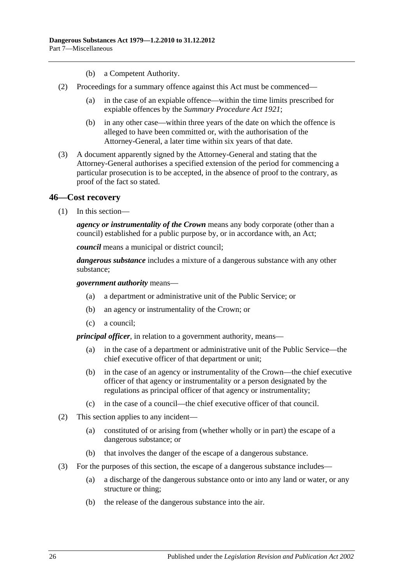- (b) a Competent Authority.
- (2) Proceedings for a summary offence against this Act must be commenced—
	- (a) in the case of an expiable offence—within the time limits prescribed for expiable offences by the *[Summary Procedure Act](http://www.legislation.sa.gov.au/index.aspx?action=legref&type=act&legtitle=Summary%20Procedure%20Act%201921) 1921*;
	- (b) in any other case—within three years of the date on which the offence is alleged to have been committed or, with the authorisation of the Attorney-General, a later time within six years of that date.
- (3) A document apparently signed by the Attorney-General and stating that the Attorney-General authorises a specified extension of the period for commencing a particular prosecution is to be accepted, in the absence of proof to the contrary, as proof of the fact so stated.

#### <span id="page-25-0"></span>**46—Cost recovery**

(1) In this section—

*agency or instrumentality of the Crown* means any body corporate (other than a council) established for a public purpose by, or in accordance with, an Act;

*council* means a municipal or district council;

*dangerous substance* includes a mixture of a dangerous substance with any other substance;

#### *government authority* means—

- (a) a department or administrative unit of the Public Service; or
- (b) an agency or instrumentality of the Crown; or
- (c) a council;

*principal officer*, in relation to a government authority, means—

- (a) in the case of a department or administrative unit of the Public Service—the chief executive officer of that department or unit;
- (b) in the case of an agency or instrumentality of the Crown—the chief executive officer of that agency or instrumentality or a person designated by the regulations as principal officer of that agency or instrumentality;
- (c) in the case of a council—the chief executive officer of that council.
- (2) This section applies to any incident—
	- (a) constituted of or arising from (whether wholly or in part) the escape of a dangerous substance; or
	- (b) that involves the danger of the escape of a dangerous substance.
- (3) For the purposes of this section, the escape of a dangerous substance includes—
	- (a) a discharge of the dangerous substance onto or into any land or water, or any structure or thing;
	- (b) the release of the dangerous substance into the air.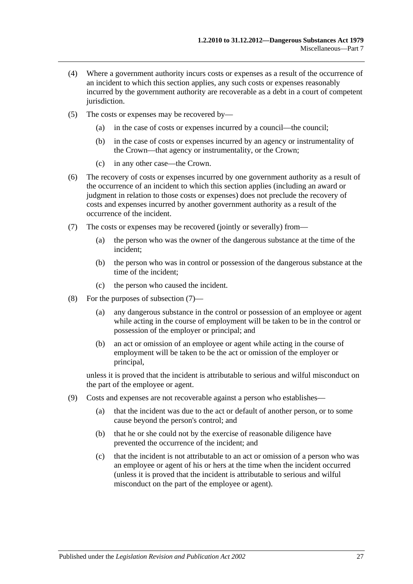- (4) Where a government authority incurs costs or expenses as a result of the occurrence of an incident to which this section applies, any such costs or expenses reasonably incurred by the government authority are recoverable as a debt in a court of competent jurisdiction.
- (5) The costs or expenses may be recovered by—
	- (a) in the case of costs or expenses incurred by a council—the council;
	- (b) in the case of costs or expenses incurred by an agency or instrumentality of the Crown—that agency or instrumentality, or the Crown;
	- (c) in any other case—the Crown.
- (6) The recovery of costs or expenses incurred by one government authority as a result of the occurrence of an incident to which this section applies (including an award or judgment in relation to those costs or expenses) does not preclude the recovery of costs and expenses incurred by another government authority as a result of the occurrence of the incident.
- <span id="page-26-0"></span>(7) The costs or expenses may be recovered (jointly or severally) from—
	- (a) the person who was the owner of the dangerous substance at the time of the incident;
	- (b) the person who was in control or possession of the dangerous substance at the time of the incident;
	- (c) the person who caused the incident.
- (8) For the purposes of [subsection](#page-26-0) (7)—
	- (a) any dangerous substance in the control or possession of an employee or agent while acting in the course of employment will be taken to be in the control or possession of the employer or principal; and
	- (b) an act or omission of an employee or agent while acting in the course of employment will be taken to be the act or omission of the employer or principal,

unless it is proved that the incident is attributable to serious and wilful misconduct on the part of the employee or agent.

- (9) Costs and expenses are not recoverable against a person who establishes—
	- (a) that the incident was due to the act or default of another person, or to some cause beyond the person's control; and
	- (b) that he or she could not by the exercise of reasonable diligence have prevented the occurrence of the incident; and
	- (c) that the incident is not attributable to an act or omission of a person who was an employee or agent of his or hers at the time when the incident occurred (unless it is proved that the incident is attributable to serious and wilful misconduct on the part of the employee or agent).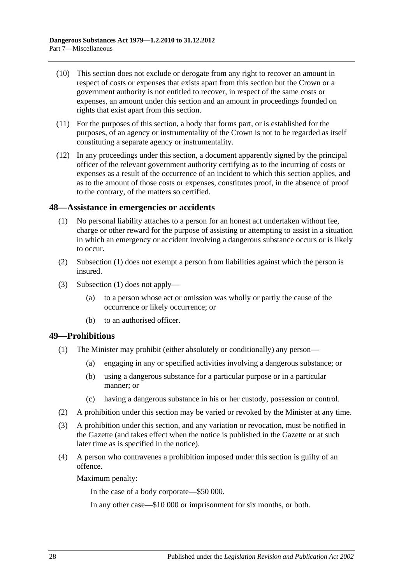- (10) This section does not exclude or derogate from any right to recover an amount in respect of costs or expenses that exists apart from this section but the Crown or a government authority is not entitled to recover, in respect of the same costs or expenses, an amount under this section and an amount in proceedings founded on rights that exist apart from this section.
- (11) For the purposes of this section, a body that forms part, or is established for the purposes, of an agency or instrumentality of the Crown is not to be regarded as itself constituting a separate agency or instrumentality.
- (12) In any proceedings under this section, a document apparently signed by the principal officer of the relevant government authority certifying as to the incurring of costs or expenses as a result of the occurrence of an incident to which this section applies, and as to the amount of those costs or expenses, constitutes proof, in the absence of proof to the contrary, of the matters so certified.

#### <span id="page-27-2"></span><span id="page-27-0"></span>**48—Assistance in emergencies or accidents**

- (1) No personal liability attaches to a person for an honest act undertaken without fee, charge or other reward for the purpose of assisting or attempting to assist in a situation in which an emergency or accident involving a dangerous substance occurs or is likely to occur.
- (2) [Subsection](#page-27-2) (1) does not exempt a person from liabilities against which the person is insured.
- (3) [Subsection](#page-27-2) (1) does not apply—
	- (a) to a person whose act or omission was wholly or partly the cause of the occurrence or likely occurrence; or
	- (b) to an authorised officer.

#### <span id="page-27-1"></span>**49—Prohibitions**

- (1) The Minister may prohibit (either absolutely or conditionally) any person—
	- (a) engaging in any or specified activities involving a dangerous substance; or
	- (b) using a dangerous substance for a particular purpose or in a particular manner; or
	- (c) having a dangerous substance in his or her custody, possession or control.
- (2) A prohibition under this section may be varied or revoked by the Minister at any time.
- (3) A prohibition under this section, and any variation or revocation, must be notified in the Gazette (and takes effect when the notice is published in the Gazette or at such later time as is specified in the notice).
- (4) A person who contravenes a prohibition imposed under this section is guilty of an offence.

Maximum penalty:

In the case of a body corporate—\$50 000.

In any other case—\$10 000 or imprisonment for six months, or both.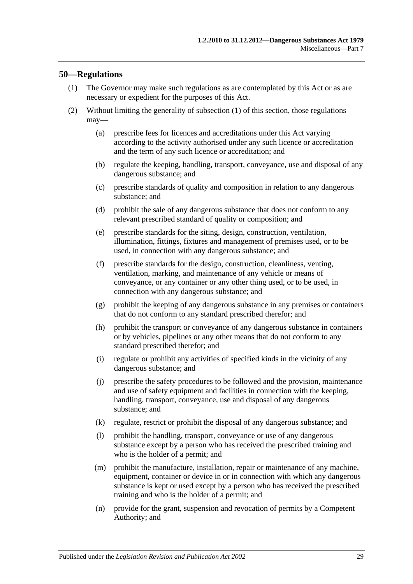#### <span id="page-28-1"></span><span id="page-28-0"></span>**50—Regulations**

- (1) The Governor may make such regulations as are contemplated by this Act or as are necessary or expedient for the purposes of this Act.
- (2) Without limiting the generality of [subsection](#page-28-1) (1) of this section, those regulations may—
	- (a) prescribe fees for licences and accreditations under this Act varying according to the activity authorised under any such licence or accreditation and the term of any such licence or accreditation; and
	- (b) regulate the keeping, handling, transport, conveyance, use and disposal of any dangerous substance; and
	- (c) prescribe standards of quality and composition in relation to any dangerous substance; and
	- (d) prohibit the sale of any dangerous substance that does not conform to any relevant prescribed standard of quality or composition; and
	- (e) prescribe standards for the siting, design, construction, ventilation, illumination, fittings, fixtures and management of premises used, or to be used, in connection with any dangerous substance; and
	- (f) prescribe standards for the design, construction, cleanliness, venting, ventilation, marking, and maintenance of any vehicle or means of conveyance, or any container or any other thing used, or to be used, in connection with any dangerous substance; and
	- (g) prohibit the keeping of any dangerous substance in any premises or containers that do not conform to any standard prescribed therefor; and
	- (h) prohibit the transport or conveyance of any dangerous substance in containers or by vehicles, pipelines or any other means that do not conform to any standard prescribed therefor; and
	- (i) regulate or prohibit any activities of specified kinds in the vicinity of any dangerous substance; and
	- (j) prescribe the safety procedures to be followed and the provision, maintenance and use of safety equipment and facilities in connection with the keeping, handling, transport, conveyance, use and disposal of any dangerous substance; and
	- (k) regulate, restrict or prohibit the disposal of any dangerous substance; and
	- (l) prohibit the handling, transport, conveyance or use of any dangerous substance except by a person who has received the prescribed training and who is the holder of a permit; and
	- (m) prohibit the manufacture, installation, repair or maintenance of any machine, equipment, container or device in or in connection with which any dangerous substance is kept or used except by a person who has received the prescribed training and who is the holder of a permit; and
	- (n) provide for the grant, suspension and revocation of permits by a Competent Authority; and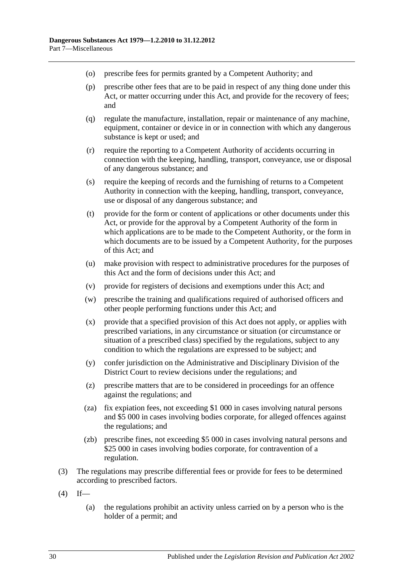- (o) prescribe fees for permits granted by a Competent Authority; and
- (p) prescribe other fees that are to be paid in respect of any thing done under this Act, or matter occurring under this Act, and provide for the recovery of fees; and
- (q) regulate the manufacture, installation, repair or maintenance of any machine, equipment, container or device in or in connection with which any dangerous substance is kept or used; and
- (r) require the reporting to a Competent Authority of accidents occurring in connection with the keeping, handling, transport, conveyance, use or disposal of any dangerous substance; and
- (s) require the keeping of records and the furnishing of returns to a Competent Authority in connection with the keeping, handling, transport, conveyance, use or disposal of any dangerous substance; and
- (t) provide for the form or content of applications or other documents under this Act, or provide for the approval by a Competent Authority of the form in which applications are to be made to the Competent Authority, or the form in which documents are to be issued by a Competent Authority, for the purposes of this Act; and
- (u) make provision with respect to administrative procedures for the purposes of this Act and the form of decisions under this Act; and
- (v) provide for registers of decisions and exemptions under this Act; and
- (w) prescribe the training and qualifications required of authorised officers and other people performing functions under this Act; and
- (x) provide that a specified provision of this Act does not apply, or applies with prescribed variations, in any circumstance or situation (or circumstance or situation of a prescribed class) specified by the regulations, subject to any condition to which the regulations are expressed to be subject; and
- (y) confer jurisdiction on the Administrative and Disciplinary Division of the District Court to review decisions under the regulations; and
- (z) prescribe matters that are to be considered in proceedings for an offence against the regulations; and
- (za) fix expiation fees, not exceeding \$1 000 in cases involving natural persons and \$5 000 in cases involving bodies corporate, for alleged offences against the regulations; and
- (zb) prescribe fines, not exceeding \$5 000 in cases involving natural persons and \$25 000 in cases involving bodies corporate, for contravention of a regulation.
- (3) The regulations may prescribe differential fees or provide for fees to be determined according to prescribed factors.
- $(4)$  If—
	- (a) the regulations prohibit an activity unless carried on by a person who is the holder of a permit; and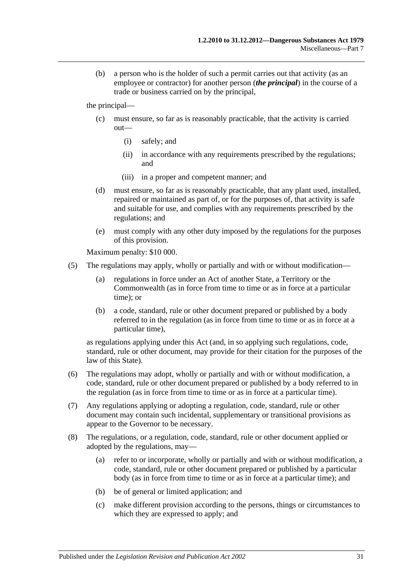(b) a person who is the holder of such a permit carries out that activity (as an employee or contractor) for another person (*the principal*) in the course of a trade or business carried on by the principal,

the principal—

- (c) must ensure, so far as is reasonably practicable, that the activity is carried out—
	- (i) safely; and
	- (ii) in accordance with any requirements prescribed by the regulations; and
	- (iii) in a proper and competent manner; and
- (d) must ensure, so far as is reasonably practicable, that any plant used, installed, repaired or maintained as part of, or for the purposes of, that activity is safe and suitable for use, and complies with any requirements prescribed by the regulations; and
- (e) must comply with any other duty imposed by the regulations for the purposes of this provision.

Maximum penalty: \$10 000.

- (5) The regulations may apply, wholly or partially and with or without modification—
	- (a) regulations in force under an Act of another State, a Territory or the Commonwealth (as in force from time to time or as in force at a particular time); or
	- (b) a code, standard, rule or other document prepared or published by a body referred to in the regulation (as in force from time to time or as in force at a particular time),

as regulations applying under this Act (and, in so applying such regulations, code, standard, rule or other document, may provide for their citation for the purposes of the law of this State).

- (6) The regulations may adopt, wholly or partially and with or without modification, a code, standard, rule or other document prepared or published by a body referred to in the regulation (as in force from time to time or as in force at a particular time).
- (7) Any regulations applying or adopting a regulation, code, standard, rule or other document may contain such incidental, supplementary or transitional provisions as appear to the Governor to be necessary.
- (8) The regulations, or a regulation, code, standard, rule or other document applied or adopted by the regulations, may—
	- (a) refer to or incorporate, wholly or partially and with or without modification, a code, standard, rule or other document prepared or published by a particular body (as in force from time to time or as in force at a particular time); and
	- (b) be of general or limited application; and
	- (c) make different provision according to the persons, things or circumstances to which they are expressed to apply; and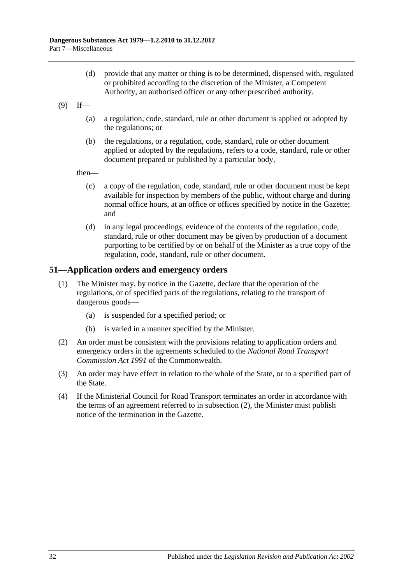- (d) provide that any matter or thing is to be determined, dispensed with, regulated or prohibited according to the discretion of the Minister, a Competent Authority, an authorised officer or any other prescribed authority.
- $(9)$  If—
	- (a) a regulation, code, standard, rule or other document is applied or adopted by the regulations; or
	- (b) the regulations, or a regulation, code, standard, rule or other document applied or adopted by the regulations, refers to a code, standard, rule or other document prepared or published by a particular body,

then—

- (c) a copy of the regulation, code, standard, rule or other document must be kept available for inspection by members of the public, without charge and during normal office hours, at an office or offices specified by notice in the Gazette; and
- (d) in any legal proceedings, evidence of the contents of the regulation, code, standard, rule or other document may be given by production of a document purporting to be certified by or on behalf of the Minister as a true copy of the regulation, code, standard, rule or other document.

## <span id="page-31-0"></span>**51—Application orders and emergency orders**

- (1) The Minister may, by notice in the Gazette, declare that the operation of the regulations, or of specified parts of the regulations, relating to the transport of dangerous goods—
	- (a) is suspended for a specified period; or
	- (b) is varied in a manner specified by the Minister.
- <span id="page-31-1"></span>(2) An order must be consistent with the provisions relating to application orders and emergency orders in the agreements scheduled to the *National Road Transport Commission Act 1991* of the Commonwealth.
- (3) An order may have effect in relation to the whole of the State, or to a specified part of the State.
- (4) If the Ministerial Council for Road Transport terminates an order in accordance with the terms of an agreement referred to in [subsection](#page-31-1) (2), the Minister must publish notice of the termination in the Gazette.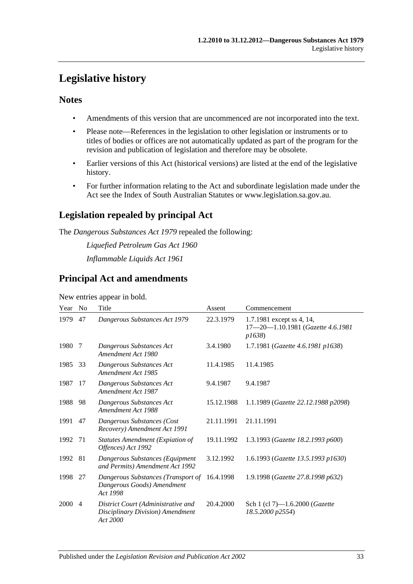## <span id="page-32-0"></span>**Legislative history**

## **Notes**

- Amendments of this version that are uncommenced are not incorporated into the text.
- Please note—References in the legislation to other legislation or instruments or to titles of bodies or offices are not automatically updated as part of the program for the revision and publication of legislation and therefore may be obsolete.
- Earlier versions of this Act (historical versions) are listed at the end of the legislative history.
- For further information relating to the Act and subordinate legislation made under the Act see the Index of South Australian Statutes or www.legislation.sa.gov.au.

## **Legislation repealed by principal Act**

The *Dangerous Substances Act 1979* repealed the following:

*Liquefied Petroleum Gas Act 1960*

*Inflammable Liquids Act 1961*

## **Principal Act and amendments**

New entries appear in bold.

| Year | N <sub>0</sub> | Title                                                                              | Assent     | Commencement                                                            |
|------|----------------|------------------------------------------------------------------------------------|------------|-------------------------------------------------------------------------|
| 1979 | 47             | Dangerous Substances Act 1979                                                      | 22.3.1979  | 1.7.1981 except ss 4, 14,<br>17-20-1.10.1981 (Gazette 4.6.1981<br>p1638 |
| 1980 | 7              | Dangerous Substances Act<br>Amendment Act 1980                                     | 3.4.1980   | 1.7.1981 (Gazette 4.6.1981 p1638)                                       |
| 1985 | 33             | Dangerous Substances Act<br>Amendment Act 1985                                     | 11.4.1985  | 11.4.1985                                                               |
| 1987 | 17             | Dangerous Substances Act<br>Amendment Act 1987                                     | 9.4.1987   | 9.4.1987                                                                |
| 1988 | 98             | Dangerous Substances Act<br>Amendment Act 1988                                     | 15.12.1988 | 1.1.1989 (Gazette 22.12.1988 p2098)                                     |
| 1991 | 47             | Dangerous Substances (Cost<br>Recovery) Amendment Act 1991                         | 21.11.1991 | 21.11.1991                                                              |
| 1992 | 71             | Statutes Amendment (Expiation of<br>Offences) Act 1992                             | 19.11.1992 | 1.3.1993 (Gazette 18.2.1993 p600)                                       |
| 1992 | 81             | Dangerous Substances (Equipment<br>and Permits) Amendment Act 1992                 | 3.12.1992  | 1.6.1993 (Gazette 13.5.1993 p1630)                                      |
| 1998 | 27             | Dangerous Substances (Transport of<br>Dangerous Goods) Amendment<br>Act 1998       | 16.4.1998  | 1.9.1998 (Gazette 27.8.1998 p632)                                       |
| 2000 | $\overline{4}$ | District Court (Administrative and<br>Disciplinary Division) Amendment<br>Act 2000 | 20.4.2000  | Sch 1 (cl 7)-1.6.2000 (Gazette<br>18.5.2000 p2554)                      |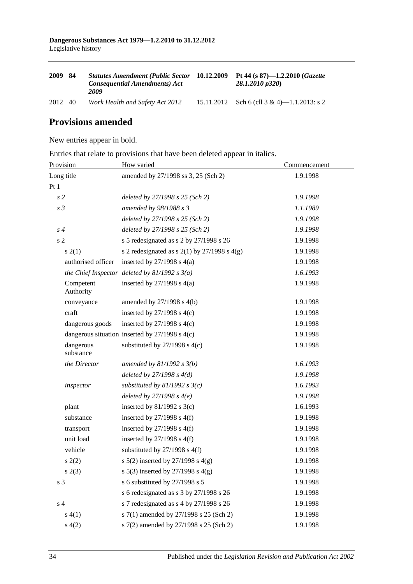| 2009    | -84 | <b>Statutes Amendment (Public Sector 10.12.2009)</b><br><b>Consequential Amendments) Act</b><br>2009 |            | Pt 44 (s $87$ )-1.2.2010 ( <i>Gazette</i><br>$28.1.2010 \text{ p}320$ |
|---------|-----|------------------------------------------------------------------------------------------------------|------------|-----------------------------------------------------------------------|
| 2012 40 |     | Work Health and Safety Act 2012                                                                      | 15.11.2012 | Sch 6 (cll 3 & 4)—1.1.2013: s 2                                       |

## **Provisions amended**

New entries appear in bold.

Entries that relate to provisions that have been deleted appear in italics.

| Provision              | How varied                                         | Commencement |  |
|------------------------|----------------------------------------------------|--------------|--|
| Long title             | amended by 27/1998 ss 3, 25 (Sch 2)                | 1.9.1998     |  |
| Pt1                    |                                                    |              |  |
| s <sub>2</sub>         | deleted by 27/1998 s 25 (Sch 2)                    | 1.9.1998     |  |
| s <sub>3</sub>         | amended by 98/1988 s 3                             | 1.1.1989     |  |
|                        | deleted by 27/1998 s 25 (Sch 2)                    | 1.9.1998     |  |
| $s\,4$                 | deleted by 27/1998 s 25 (Sch 2)                    | 1.9.1998     |  |
| s <sub>2</sub>         | s 5 redesignated as s 2 by 27/1998 s 26            | 1.9.1998     |  |
| s(2(1))                | s 2 redesignated as s $2(1)$ by $27/1998$ s $4(g)$ | 1.9.1998     |  |
| authorised officer     | inserted by $27/1998$ s $4(a)$                     | 1.9.1998     |  |
|                        | the Chief Inspector deleted by $81/1992 s 3(a)$    | 1.6.1993     |  |
| Competent<br>Authority | inserted by $27/1998$ s $4(a)$                     | 1.9.1998     |  |
| conveyance             | amended by $27/1998$ s $4(b)$                      | 1.9.1998     |  |
| craft                  | inserted by $27/1998$ s $4(c)$                     | 1.9.1998     |  |
| dangerous goods        | inserted by $27/1998$ s $4(c)$                     | 1.9.1998     |  |
|                        | dangerous situation inserted by $27/1998$ s $4(c)$ | 1.9.1998     |  |
| dangerous<br>substance | substituted by $27/1998$ s $4(c)$                  | 1.9.1998     |  |
| the Director           | amended by $81/1992 s 3(b)$                        | 1.6.1993     |  |
|                        | deleted by $27/1998 s 4(d)$                        | 1.9.1998     |  |
| inspector              | substituted by $81/1992$ s $3(c)$                  | 1.6.1993     |  |
|                        | deleted by $27/1998 s 4(e)$                        | 1.9.1998     |  |
| plant                  | inserted by $81/1992$ s 3(c)                       | 1.6.1993     |  |
| substance              | inserted by $27/1998$ s $4(f)$                     | 1.9.1998     |  |
| transport              | inserted by $27/1998$ s $4(f)$                     | 1.9.1998     |  |
| unit load              | inserted by $27/1998$ s $4(f)$                     | 1.9.1998     |  |
| vehicle                | substituted by $27/1998$ s $4(f)$                  | 1.9.1998     |  |
| s(2)                   | s $5(2)$ inserted by $27/1998$ s $4(g)$            | 1.9.1998     |  |
| s(2(3))                | s 5(3) inserted by $27/1998$ s 4(g)                | 1.9.1998     |  |
| s <sub>3</sub>         | s 6 substituted by 27/1998 s 5                     | 1.9.1998     |  |
|                        | s 6 redesignated as s 3 by 27/1998 s 26            | 1.9.1998     |  |
| s <sub>4</sub>         | s 7 redesignated as s 4 by 27/1998 s 26            | 1.9.1998     |  |
| s(4(1))                | s 7(1) amended by 27/1998 s 25 (Sch 2)             | 1.9.1998     |  |
| s(4(2)                 | s 7(2) amended by 27/1998 s 25 (Sch 2)             | 1.9.1998     |  |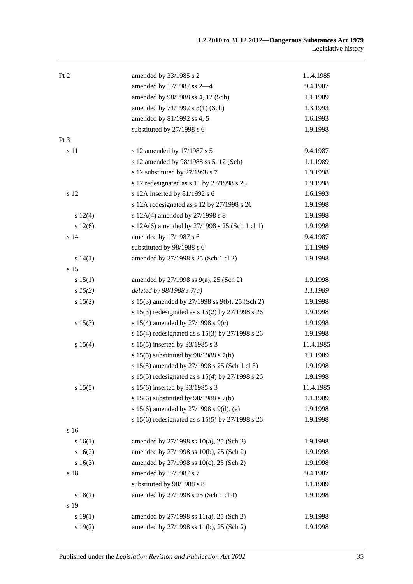| Pt 2            | amended by 33/1985 s 2                            | 11.4.1985 |
|-----------------|---------------------------------------------------|-----------|
|                 | amended by 17/1987 ss 2-4                         | 9.4.1987  |
|                 | amended by 98/1988 ss 4, 12 (Sch)                 | 1.1.1989  |
|                 | amended by 71/1992 s 3(1) (Sch)                   | 1.3.1993  |
|                 | amended by 81/1992 ss 4, 5                        | 1.6.1993  |
|                 | substituted by 27/1998 s 6                        | 1.9.1998  |
| Pt <sub>3</sub> |                                                   |           |
| s 11            | s 12 amended by 17/1987 s 5                       | 9.4.1987  |
|                 | s 12 amended by 98/1988 ss 5, 12 (Sch)            | 1.1.1989  |
|                 | s 12 substituted by 27/1998 s 7                   | 1.9.1998  |
|                 | s 12 redesignated as s 11 by 27/1998 s 26         | 1.9.1998  |
| s 12            | s 12A inserted by 81/1992 s 6                     | 1.6.1993  |
|                 | s 12A redesignated as s 12 by 27/1998 s 26        | 1.9.1998  |
| s 12(4)         | s 12A(4) amended by 27/1998 s 8                   | 1.9.1998  |
| s 12(6)         | s 12A(6) amended by 27/1998 s 25 (Sch 1 cl 1)     | 1.9.1998  |
| s 14            | amended by 17/1987 s 6                            | 9.4.1987  |
|                 | substituted by 98/1988 s 6                        | 1.1.1989  |
| s 14(1)         | amended by 27/1998 s 25 (Sch 1 cl 2)              | 1.9.1998  |
| s 15            |                                                   |           |
| s 15(1)         | amended by $27/1998$ ss $9(a)$ , $25$ (Sch 2)     | 1.9.1998  |
| s 15(2)         | deleted by $98/1988 s 7(a)$                       | 1.1.1989  |
| s 15(2)         | s 15(3) amended by 27/1998 ss 9(b), 25 (Sch 2)    | 1.9.1998  |
|                 | s 15(3) redesignated as s 15(2) by 27/1998 s 26   | 1.9.1998  |
| s 15(3)         | s 15(4) amended by 27/1998 s 9(c)                 | 1.9.1998  |
|                 | s 15(4) redesignated as s 15(3) by 27/1998 s 26   | 1.9.1998  |
| s 15(4)         | s 15(5) inserted by 33/1985 s 3                   | 11.4.1985 |
|                 | s 15(5) substituted by $98/1988$ s 7(b)           | 1.1.1989  |
|                 | s 15(5) amended by 27/1998 s 25 (Sch 1 cl 3)      | 1.9.1998  |
|                 | s 15(5) redesignated as s 15(4) by $27/1998$ s 26 | 1.9.1998  |
| s 15(5)         | s 15(6) inserted by 33/1985 s 3                   | 11.4.1985 |
|                 | s 15(6) substituted by $98/1988$ s 7(b)           | 1.1.1989  |
|                 | s 15(6) amended by 27/1998 s 9(d), (e)            | 1.9.1998  |
|                 | s 15(6) redesignated as s 15(5) by 27/1998 s 26   | 1.9.1998  |
| s 16            |                                                   |           |
| s 16(1)         | amended by 27/1998 ss 10(a), 25 (Sch 2)           | 1.9.1998  |
| s 16(2)         | amended by 27/1998 ss 10(b), 25 (Sch 2)           | 1.9.1998  |
| s 16(3)         | amended by 27/1998 ss 10(c), 25 (Sch 2)           | 1.9.1998  |
| s 18            | amended by 17/1987 s 7                            | 9.4.1987  |
|                 | substituted by 98/1988 s 8                        | 1.1.1989  |
| s 18(1)         | amended by 27/1998 s 25 (Sch 1 cl 4)              | 1.9.1998  |
| s 19            |                                                   |           |
| s 19(1)         | amended by 27/1998 ss 11(a), 25 (Sch 2)           | 1.9.1998  |
| s 19(2)         | amended by 27/1998 ss 11(b), 25 (Sch 2)           | 1.9.1998  |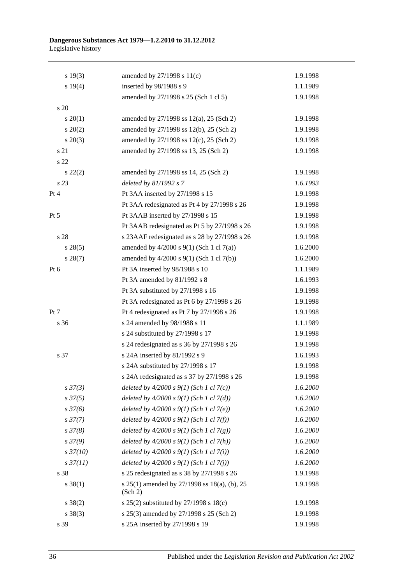#### **Dangerous Substances Act 1979—1.2.2010 to 31.12.2012** Legislative history

| s 19(3)          | amended by $27/1998$ s $11(c)$                          | 1.9.1998 |
|------------------|---------------------------------------------------------|----------|
| s 19(4)          | inserted by 98/1988 s 9                                 | 1.1.1989 |
|                  | amended by 27/1998 s 25 (Sch 1 cl 5)                    | 1.9.1998 |
| s 20             |                                                         |          |
| $s \ 20(1)$      | amended by $27/1998$ ss $12(a)$ , $25$ (Sch 2)          | 1.9.1998 |
| $s\ 20(2)$       | amended by 27/1998 ss 12(b), 25 (Sch 2)                 | 1.9.1998 |
| $s\ 20(3)$       | amended by 27/1998 ss 12(c), 25 (Sch 2)                 | 1.9.1998 |
| s 21             | amended by 27/1998 ss 13, 25 (Sch 2)                    | 1.9.1998 |
| s 22             |                                                         |          |
| $s\ 22(2)$       | amended by 27/1998 ss 14, 25 (Sch 2)                    | 1.9.1998 |
| s <sub>23</sub>  | deleted by 81/1992 s 7                                  | 1.6.1993 |
| Pt 4             | Pt 3AA inserted by 27/1998 s 15                         | 1.9.1998 |
|                  | Pt 3AA redesignated as Pt 4 by 27/1998 s 26             | 1.9.1998 |
| Pt 5             | Pt 3AAB inserted by 27/1998 s 15                        | 1.9.1998 |
|                  | Pt 3AAB redesignated as Pt 5 by 27/1998 s 26            | 1.9.1998 |
| s 28             | s 23AAF redesignated as s 28 by 27/1998 s 26            | 1.9.1998 |
| $s\,28(5)$       | amended by $4/2000$ s $9(1)$ (Sch 1 cl 7(a))            | 1.6.2000 |
| $s\,28(7)$       | amended by 4/2000 s 9(1) (Sch 1 cl 7(b))                | 1.6.2000 |
| Pt 6             | Pt 3A inserted by 98/1988 s 10                          | 1.1.1989 |
|                  | Pt 3A amended by 81/1992 s 8                            | 1.6.1993 |
|                  | Pt 3A substituted by 27/1998 s 16                       | 1.9.1998 |
|                  | Pt 3A redesignated as Pt 6 by 27/1998 s 26              | 1.9.1998 |
| Pt 7             | Pt 4 redesignated as Pt 7 by 27/1998 s 26               | 1.9.1998 |
| s 36             | s 24 amended by 98/1988 s 11                            | 1.1.1989 |
|                  | s 24 substituted by 27/1998 s 17                        | 1.9.1998 |
|                  | s 24 redesignated as s 36 by 27/1998 s 26               | 1.9.1998 |
| s 37             | s 24A inserted by 81/1992 s 9                           | 1.6.1993 |
|                  | s 24A substituted by 27/1998 s 17                       | 1.9.1998 |
|                  | s 24A redesignated as s 37 by 27/1998 s 26              | 1.9.1998 |
| $s\,37(3)$       | deleted by $4/2000 s 9(1)$ (Sch 1 cl 7(c))              | 1.6.2000 |
| $s\,37(5)$       | deleted by $4/2000 s 9(1)$ (Sch 1 cl 7(d))              | 1.6.2000 |
| $s \frac{37}{6}$ | deleted by $4/2000 s 9(1)$ (Sch 1 cl 7(e))              | 1.6.2000 |
| $s\,37(7)$       | deleted by $4/2000 s 9(1)$ (Sch 1 cl 7(f))              | 1.6.2000 |
| s37(8)           | deleted by $4/2000 s 9(1)$ (Sch 1 cl 7(g))              | 1.6.2000 |
| $s\,37(9)$       | deleted by $4/2000 s 9(1)$ (Sch 1 cl 7(h))              | 1.6.2000 |
| $s\,37(10)$      | deleted by $4/2000 s 9(1)$ (Sch 1 cl 7(i))              | 1.6.2000 |
| $s\,37(11)$      | deleted by $4/2000 s 9(1)$ (Sch 1 cl 7(j))              | 1.6.2000 |
| s 38             | s 25 redesignated as s 38 by 27/1998 s 26               | 1.9.1998 |
| $s \ 38(1)$      | s 25(1) amended by 27/1998 ss 18(a), (b), 25<br>(Sch 2) | 1.9.1998 |
| $s \ 38(2)$      | s 25(2) substituted by 27/1998 s 18(c)                  | 1.9.1998 |
| $s \ 38(3)$      | s 25(3) amended by 27/1998 s 25 (Sch 2)                 | 1.9.1998 |
| s 39             | s 25A inserted by 27/1998 s 19                          | 1.9.1998 |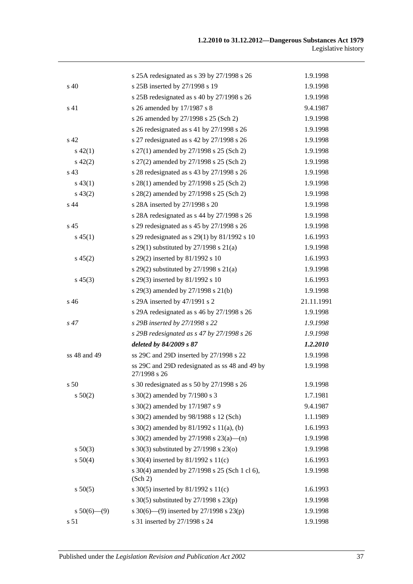|                 | s 25A redesignated as s 39 by 27/1998 s 26                     | 1.9.1998   |
|-----------------|----------------------------------------------------------------|------------|
| s 40            | s 25B inserted by 27/1998 s 19                                 | 1.9.1998   |
|                 | s 25B redesignated as s 40 by 27/1998 s 26                     | 1.9.1998   |
| s 41            | s 26 amended by 17/1987 s 8                                    | 9.4.1987   |
|                 | s 26 amended by 27/1998 s 25 (Sch 2)                           | 1.9.1998   |
|                 | s 26 redesignated as s 41 by 27/1998 s 26                      | 1.9.1998   |
| s <sub>42</sub> | s 27 redesignated as s 42 by 27/1998 s 26                      | 1.9.1998   |
| $s\ 42(1)$      | s 27(1) amended by 27/1998 s 25 (Sch 2)                        | 1.9.1998   |
| $s\ 42(2)$      | s 27(2) amended by 27/1998 s 25 (Sch 2)                        | 1.9.1998   |
| s 43            | s 28 redesignated as s 43 by 27/1998 s 26                      | 1.9.1998   |
| $s\,43(1)$      | s 28(1) amended by 27/1998 s 25 (Sch 2)                        | 1.9.1998   |
| $s\,43(2)$      | s 28(2) amended by 27/1998 s 25 (Sch 2)                        | 1.9.1998   |
| s 44            | s 28A inserted by 27/1998 s 20                                 | 1.9.1998   |
|                 | s 28A redesignated as s 44 by 27/1998 s 26                     | 1.9.1998   |
| s <sub>45</sub> | s 29 redesignated as s 45 by 27/1998 s 26                      | 1.9.1998   |
| $s\,45(1)$      | s 29 redesignated as s $29(1)$ by $81/1992$ s 10               | 1.6.1993   |
|                 | s 29(1) substituted by $27/1998$ s $21(a)$                     | 1.9.1998   |
| $s\,45(2)$      | s 29(2) inserted by 81/1992 s 10                               | 1.6.1993   |
|                 | s 29(2) substituted by $27/1998$ s $21(a)$                     | 1.9.1998   |
| $s\,45(3)$      | s 29(3) inserted by 81/1992 s 10                               | 1.6.1993   |
|                 | s 29(3) amended by 27/1998 s 21(b)                             | 1.9.1998   |
| s 46            | s 29A inserted by 47/1991 s 2                                  | 21.11.1991 |
|                 | s 29A redesignated as s 46 by 27/1998 s 26                     | 1.9.1998   |
| s 47            | s 29B inserted by 27/1998 s 22                                 | 1.9.1998   |
|                 | s 29B redesignated as s 47 by $27/1998$ s 26                   | 1.9.1998   |
|                 | deleted by 84/2009 s 87                                        | 1.2.2010   |
| ss 48 and 49    | ss 29C and 29D inserted by 27/1998 s 22                        | 1.9.1998   |
|                 | ss 29C and 29D redesignated as ss 48 and 49 by<br>27/1998 s 26 | 1.9.1998   |
| s 50            | s 30 redesignated as s 50 by 27/1998 s 26                      | 1.9.1998   |
| s 50(2)         | s 30(2) amended by 7/1980 s 3                                  | 1.7.1981   |
|                 | s 30(2) amended by 17/1987 s 9                                 | 9.4.1987   |
|                 | s 30(2) amended by 98/1988 s 12 (Sch)                          | 1.1.1989   |
|                 | s $30(2)$ amended by $81/1992$ s $11(a)$ , (b)                 | 1.6.1993   |
|                 | s 30(2) amended by 27/1998 s 23(a)—(n)                         | 1.9.1998   |
| $s\ 50(3)$      | s 30(3) substituted by 27/1998 s 23(o)                         | 1.9.1998   |
| s 50(4)         | s 30(4) inserted by 81/1992 s 11(c)                            | 1.6.1993   |
|                 | s 30(4) amended by 27/1998 s 25 (Sch 1 cl 6),<br>(Sch 2)       | 1.9.1998   |
| s 50(5)         | s 30(5) inserted by 81/1992 s 11(c)                            | 1.6.1993   |
|                 | s 30(5) substituted by 27/1998 s 23(p)                         | 1.9.1998   |
| $s 50(6)$ (9)   | s 30(6)—(9) inserted by 27/1998 s 23(p)                        | 1.9.1998   |
| s 51            | s 31 inserted by 27/1998 s 24                                  | 1.9.1998   |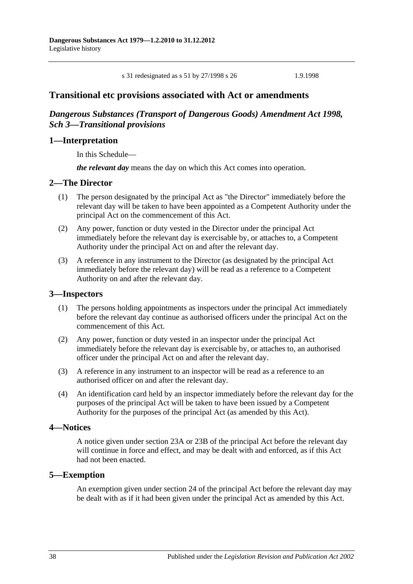s 31 redesignated as s 51 by 27/1998 s 26 1.9.1998

## **Transitional etc provisions associated with Act or amendments**

## *Dangerous Substances (Transport of Dangerous Goods) Amendment Act 1998, Sch 3—Transitional provisions*

## **1—Interpretation**

In this Schedule—

*the relevant day* means the day on which this Act comes into operation.

#### **2—The Director**

- (1) The person designated by the principal Act as "the Director" immediately before the relevant day will be taken to have been appointed as a Competent Authority under the principal Act on the commencement of this Act.
- (2) Any power, function or duty vested in the Director under the principal Act immediately before the relevant day is exercisable by, or attaches to, a Competent Authority under the principal Act on and after the relevant day.
- (3) A reference in any instrument to the Director (as designated by the principal Act immediately before the relevant day) will be read as a reference to a Competent Authority on and after the relevant day.

#### **3—Inspectors**

- (1) The persons holding appointments as inspectors under the principal Act immediately before the relevant day continue as authorised officers under the principal Act on the commencement of this Act.
- (2) Any power, function or duty vested in an inspector under the principal Act immediately before the relevant day is exercisable by, or attaches to, an authorised officer under the principal Act on and after the relevant day.
- (3) A reference in any instrument to an inspector will be read as a reference to an authorised officer on and after the relevant day.
- (4) An identification card held by an inspector immediately before the relevant day for the purposes of the principal Act will be taken to have been issued by a Competent Authority for the purposes of the principal Act (as amended by this Act).

#### **4—Notices**

A notice given under section 23A or 23B of the principal Act before the relevant day will continue in force and effect, and may be dealt with and enforced, as if this Act had not been enacted.

#### **5—Exemption**

An exemption given under section 24 of the principal Act before the relevant day may be dealt with as if it had been given under the principal Act as amended by this Act.